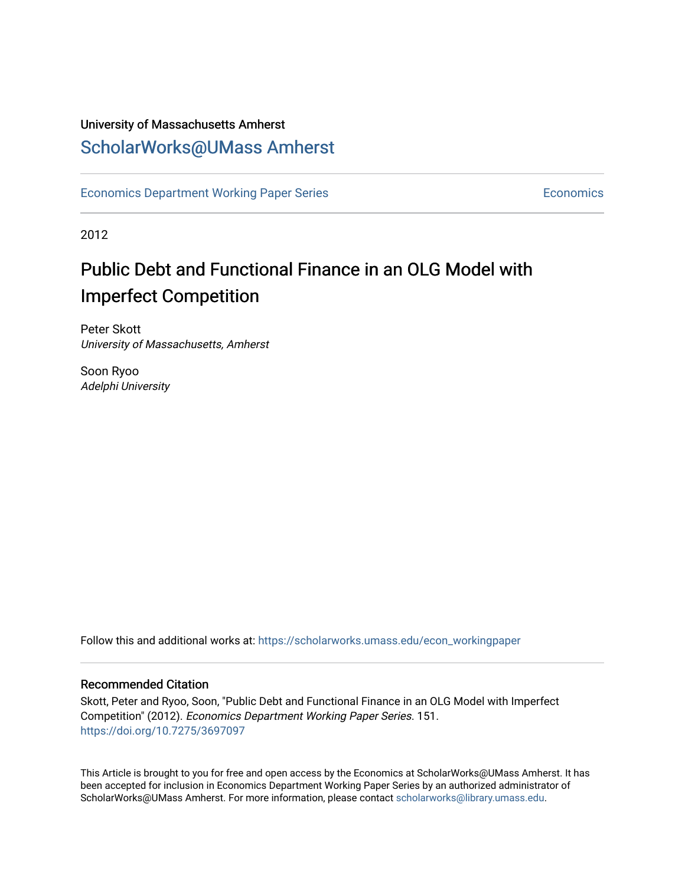# University of Massachusetts Amherst [ScholarWorks@UMass Amherst](https://scholarworks.umass.edu/)

[Economics Department Working Paper Series](https://scholarworks.umass.edu/econ_workingpaper) **Economics** Economics

2012

# Public Debt and Functional Finance in an OLG Model with Imperfect Competition

Peter Skott University of Massachusetts, Amherst

Soon Ryoo Adelphi University

Follow this and additional works at: [https://scholarworks.umass.edu/econ\\_workingpaper](https://scholarworks.umass.edu/econ_workingpaper?utm_source=scholarworks.umass.edu%2Fecon_workingpaper%2F151&utm_medium=PDF&utm_campaign=PDFCoverPages) 

#### Recommended Citation

Skott, Peter and Ryoo, Soon, "Public Debt and Functional Finance in an OLG Model with Imperfect Competition" (2012). Economics Department Working Paper Series. 151. <https://doi.org/10.7275/3697097>

This Article is brought to you for free and open access by the Economics at ScholarWorks@UMass Amherst. It has been accepted for inclusion in Economics Department Working Paper Series by an authorized administrator of ScholarWorks@UMass Amherst. For more information, please contact [scholarworks@library.umass.edu.](mailto:scholarworks@library.umass.edu)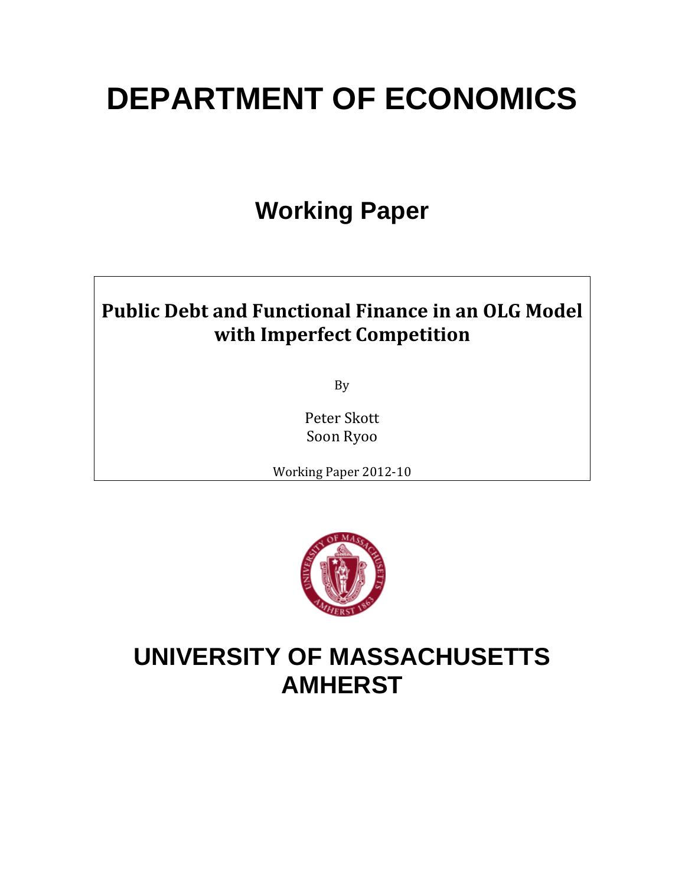# **DEPARTMENT OF ECONOMICS**

# **Working Paper**

# **Public Debt and Functional Finance in an OLG Model with Imperfect Competition**

By

Peter Skott Soon Ryoo

Working Paper 2012-10



# **UNIVERSITY OF MASSACHUSETTS AMHERST**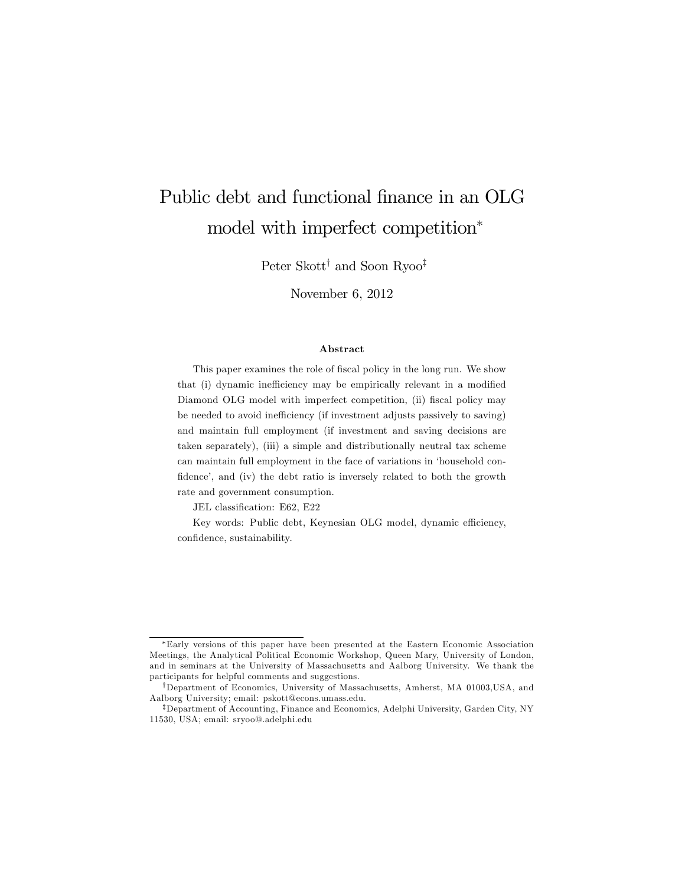# Public debt and functional finance in an OLG model with imperfect competition

Peter Skott<sup>†</sup> and Soon Ryoo<sup>‡</sup>

November 6, 2012

#### Abstract

This paper examines the role of fiscal policy in the long run. We show that (i) dynamic inefficiency may be empirically relevant in a modified Diamond OLG model with imperfect competition, (ii) fiscal policy may be needed to avoid inefficiency (if investment adjusts passively to saving) and maintain full employment (if investment and saving decisions are taken separately), (iii) a simple and distributionally neutral tax scheme can maintain full employment in the face of variations in 'household confidence', and (iv) the debt ratio is inversely related to both the growth rate and government consumption.

JEL classification: E62, E22

Key words: Public debt, Keynesian OLG model, dynamic efficiency, confidence, sustainability.

Early versions of this paper have been presented at the Eastern Economic Association Meetings, the Analytical Political Economic Workshop, Queen Mary, University of London, and in seminars at the University of Massachusetts and Aalborg University. We thank the participants for helpful comments and suggestions.

<sup>&</sup>lt;sup>†</sup>Department of Economics, University of Massachusetts, Amherst, MA 01003,USA, and Aalborg University; email: pskott@econs.umass.edu.

<sup>&</sup>lt;sup>‡</sup>Department of Accounting, Finance and Economics, Adelphi University, Garden City, NY 11530, USA; email: sryoo@.adelphi.edu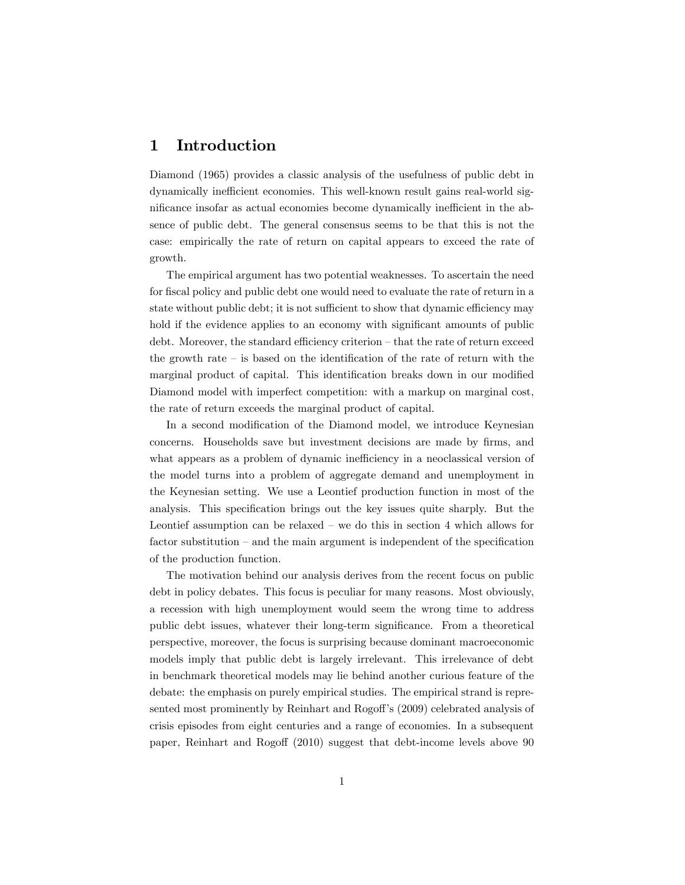### 1 Introduction

Diamond (1965) provides a classic analysis of the usefulness of public debt in dynamically inefficient economies. This well-known result gains real-world significance insofar as actual economies become dynamically inefficient in the absence of public debt. The general consensus seems to be that this is not the case: empirically the rate of return on capital appears to exceed the rate of growth.

The empirical argument has two potential weaknesses. To ascertain the need for fiscal policy and public debt one would need to evaluate the rate of return in a state without public debt; it is not sufficient to show that dynamic efficiency may hold if the evidence applies to an economy with significant amounts of public debt. Moreover, the standard efficiency criterion – that the rate of return exceed the growth rate  $\overline{\phantom{a}}$  is based on the identification of the rate of return with the marginal product of capital. This identification breaks down in our modified Diamond model with imperfect competition: with a markup on marginal cost, the rate of return exceeds the marginal product of capital.

In a second modification of the Diamond model, we introduce Keynesian concerns. Households save but investment decisions are made by firms, and what appears as a problem of dynamic inefficiency in a neoclassical version of the model turns into a problem of aggregate demand and unemployment in the Keynesian setting. We use a Leontief production function in most of the analysis. This specification brings out the key issues quite sharply. But the Leontief assumption can be relaxed  $-$  we do this in section 4 which allows for factor substitution  $-\text{ and the main argument is independent of the specification}$ of the production function.

The motivation behind our analysis derives from the recent focus on public debt in policy debates. This focus is peculiar for many reasons. Most obviously, a recession with high unemployment would seem the wrong time to address public debt issues, whatever their long-term significance. From a theoretical perspective, moreover, the focus is surprising because dominant macroeconomic models imply that public debt is largely irrelevant. This irrelevance of debt in benchmark theoretical models may lie behind another curious feature of the debate: the emphasis on purely empirical studies. The empirical strand is represented most prominently by Reinhart and Rogoff's (2009) celebrated analysis of crisis episodes from eight centuries and a range of economies. In a subsequent paper, Reinhart and Rogoff (2010) suggest that debt-income levels above 90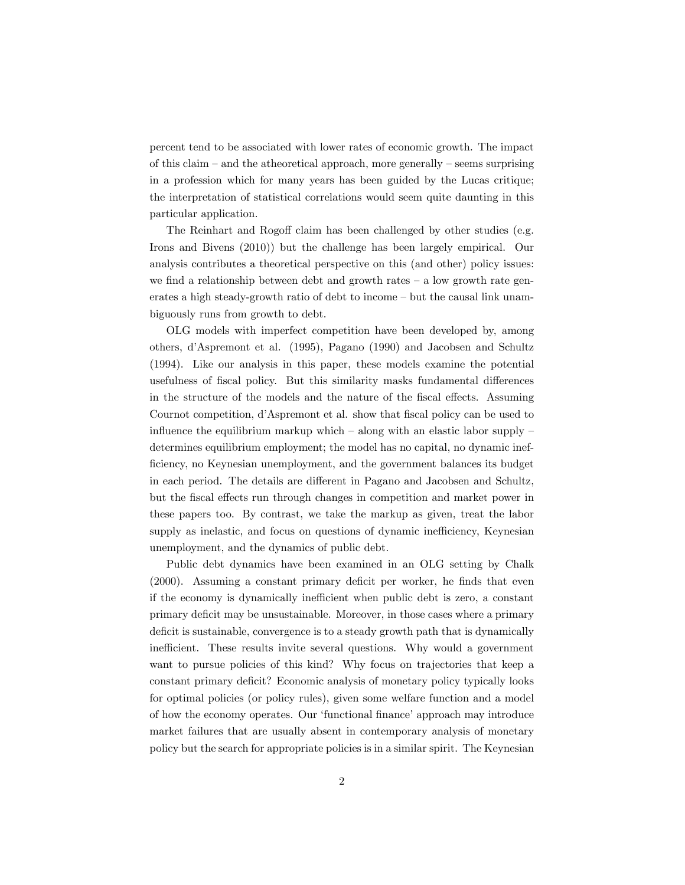percent tend to be associated with lower rates of economic growth. The impact of this claim  $-$  and the atheoretical approach, more generally  $-$  seems surprising in a profession which for many years has been guided by the Lucas critique; the interpretation of statistical correlations would seem quite daunting in this particular application.

The Reinhart and Rogoff claim has been challenged by other studies (e.g. Irons and Bivens (2010)) but the challenge has been largely empirical. Our analysis contributes a theoretical perspective on this (and other) policy issues: we find a relationship between debt and growth rates  $-$  a low growth rate generates a high steady-growth ratio of debt to income  $-\text{ but the causal link unam-}$ biguously runs from growth to debt.

OLG models with imperfect competition have been developed by, among others, díAspremont et al. (1995), Pagano (1990) and Jacobsen and Schultz (1994). Like our analysis in this paper, these models examine the potential usefulness of fiscal policy. But this similarity masks fundamental differences in the structure of the models and the nature of the fiscal effects. Assuming Cournot competition, d'Aspremont et al. show that fiscal policy can be used to influence the equilibrium markup which  $\sim$  along with an elastic labor supply  $\sim$ determines equilibrium employment; the model has no capital, no dynamic inefficiency, no Keynesian unemployment, and the government balances its budget in each period. The details are different in Pagano and Jacobsen and Schultz, but the fiscal effects run through changes in competition and market power in these papers too. By contrast, we take the markup as given, treat the labor supply as inelastic, and focus on questions of dynamic inefficiency, Keynesian unemployment, and the dynamics of public debt.

Public debt dynamics have been examined in an OLG setting by Chalk (2000). Assuming a constant primary deficit per worker, he finds that even if the economy is dynamically inefficient when public debt is zero, a constant primary deficit may be unsustainable. Moreover, in those cases where a primary deficit is sustainable, convergence is to a steady growth path that is dynamically inefficient. These results invite several questions. Why would a government want to pursue policies of this kind? Why focus on trajectories that keep a constant primary deficit? Economic analysis of monetary policy typically looks for optimal policies (or policy rules), given some welfare function and a model of how the economy operates. Our 'functional finance' approach may introduce market failures that are usually absent in contemporary analysis of monetary policy but the search for appropriate policies is in a similar spirit. The Keynesian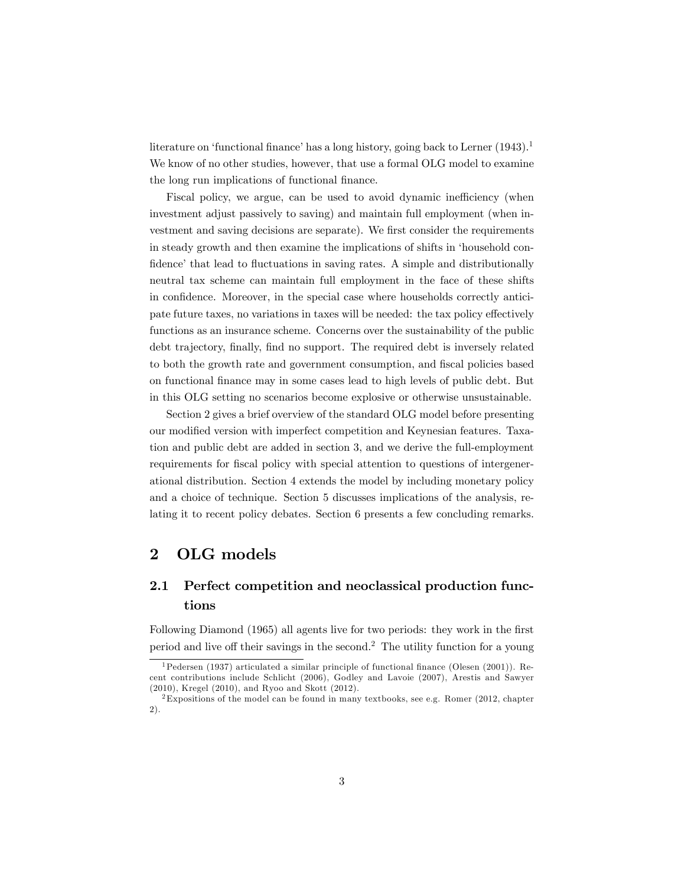literature on 'functional finance' has a long history, going back to Lerner  $(1943).<sup>1</sup>$ We know of no other studies, however, that use a formal OLG model to examine the long run implications of functional finance.

Fiscal policy, we argue, can be used to avoid dynamic inefficiency (when investment adjust passively to saving) and maintain full employment (when investment and saving decisions are separate). We first consider the requirements in steady growth and then examine the implications of shifts in 'household confidence' that lead to fluctuations in saving rates. A simple and distributionally neutral tax scheme can maintain full employment in the face of these shifts in confidence. Moreover, in the special case where households correctly anticipate future taxes, no variations in taxes will be needed: the tax policy effectively functions as an insurance scheme. Concerns over the sustainability of the public debt trajectory, finally, find no support. The required debt is inversely related to both the growth rate and government consumption, and fiscal policies based on functional finance may in some cases lead to high levels of public debt. But in this OLG setting no scenarios become explosive or otherwise unsustainable.

Section 2 gives a brief overview of the standard OLG model before presenting our modified version with imperfect competition and Keynesian features. Taxation and public debt are added in section 3, and we derive the full-employment requirements for fiscal policy with special attention to questions of intergenerational distribution. Section 4 extends the model by including monetary policy and a choice of technique. Section 5 discusses implications of the analysis, relating it to recent policy debates. Section 6 presents a few concluding remarks.

# 2 OLG models

# 2.1 Perfect competition and neoclassical production functions

Following Diamond (1965) all agents live for two periods: they work in the first period and live off their savings in the second.<sup>2</sup> The utility function for a young

<sup>&</sup>lt;sup>1</sup>Pedersen (1937) articulated a similar principle of functional finance (Olesen (2001)). Recent contributions include Schlicht (2006), Godley and Lavoie (2007), Arestis and Sawyer (2010), Kregel (2010), and Ryoo and Skott (2012).

<sup>2</sup>Expositions of the model can be found in many textbooks, see e.g. Romer (2012, chapter 2).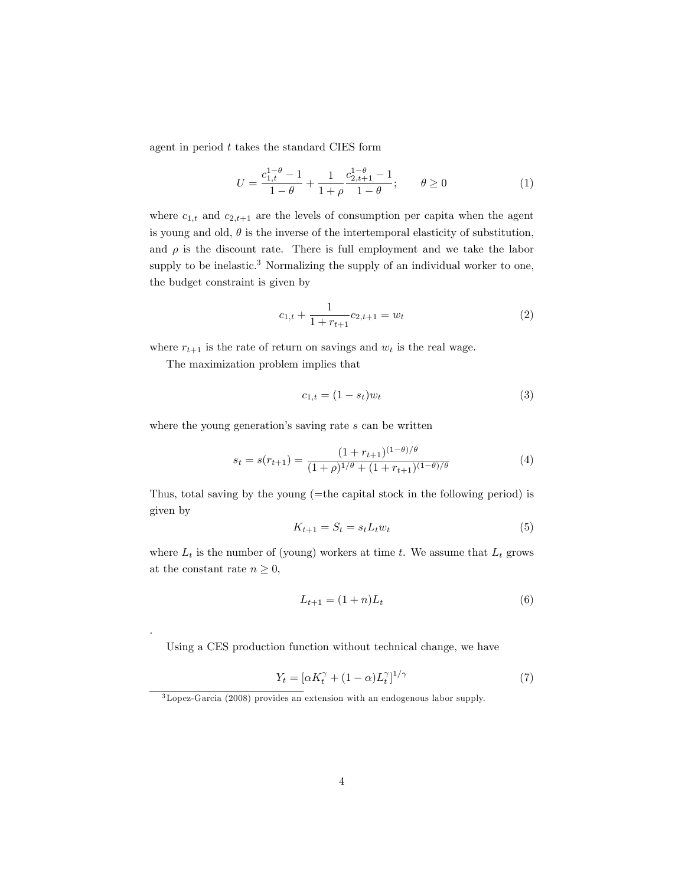agent in period  $t$  takes the standard CIES form

$$
U = \frac{c_{1,t}^{1-\theta} - 1}{1-\theta} + \frac{1}{1+\rho} \frac{c_{2,t+1}^{1-\theta} - 1}{1-\theta}; \qquad \theta \ge 0
$$
 (1)

where  $c_{1,t}$  and  $c_{2,t+1}$  are the levels of consumption per capita when the agent is young and old,  $\theta$  is the inverse of the intertemporal elasticity of substitution, and  $\rho$  is the discount rate. There is full employment and we take the labor supply to be inelastic.<sup>3</sup> Normalizing the supply of an individual worker to one, the budget constraint is given by

$$
c_{1,t} + \frac{1}{1 + r_{t+1}} c_{2,t+1} = w_t
$$
 (2)

where  $r_{t+1}$  is the rate of return on savings and  $w_t$  is the real wage.

The maximization problem implies that

.

$$
c_{1,t} = (1 - s_t)w_t
$$
 (3)

where the young generation's saving rate  $s$  can be written

$$
s_t = s(r_{t+1}) = \frac{(1 + r_{t+1})^{(1-\theta)/\theta}}{(1+\rho)^{1/\theta} + (1 + r_{t+1})^{(1-\theta)/\theta}}
$$
(4)

Thus, total saving by the young (=the capital stock in the following period) is given by

$$
K_{t+1} = S_t = s_t L_t w_t \tag{5}
$$

where  $L_t$  is the number of (young) workers at time t. We assume that  $L_t$  grows at the constant rate  $n \geq 0$ ,

$$
L_{t+1} = (1+n)L_t
$$
\n(6)

Using a CES production function without technical change, we have

$$
Y_t = [\alpha K_t^{\gamma} + (1 - \alpha)L_t^{\gamma}]^{1/\gamma}
$$
\n<sup>(7)</sup>

<sup>3</sup>Lopez-Garcia (2008) provides an extension with an endogenous labor supply.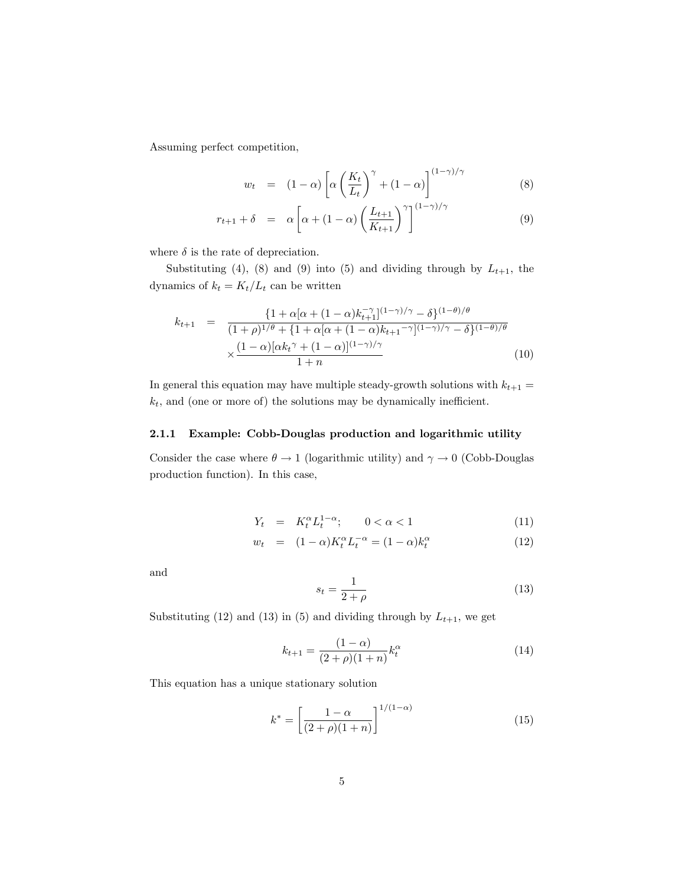Assuming perfect competition,

$$
w_t = (1 - \alpha) \left[ \alpha \left( \frac{K_t}{L_t} \right)^{\gamma} + (1 - \alpha) \right]^{(1 - \gamma)/\gamma}
$$
 (8)

$$
r_{t+1} + \delta = \alpha \left[ \alpha + (1 - \alpha) \left( \frac{L_{t+1}}{K_{t+1}} \right)^{\gamma} \right]^{(1 - \gamma)/\gamma}
$$
(9)

where  $\delta$  is the rate of depreciation.

Substituting (4), (8) and (9) into (5) and dividing through by  $L_{t+1}$ , the dynamics of  $k_t = K_t/L_t$  can be written

$$
k_{t+1} = \frac{\{1 + \alpha[\alpha + (1 - \alpha)k_{t+1}^{-\gamma}]^{(1 - \gamma)/\gamma} - \delta\}^{(1 - \theta)/\theta}}{(1 + \rho)^{1/\theta} + \{1 + \alpha[\alpha + (1 - \alpha)k_{t+1}^{-\gamma}]^{(1 - \gamma)/\gamma} - \delta\}^{(1 - \theta)/\theta}}
$$
  
 
$$
\times \frac{(1 - \alpha)[\alpha k_t^{\gamma} + (1 - \alpha)]^{(1 - \gamma)/\gamma}}{1 + n}
$$
 (10)

In general this equation may have multiple steady-growth solutions with  $k_{t+1} =$  $k_t$ , and (one or more of) the solutions may be dynamically inefficient.

#### 2.1.1 Example: Cobb-Douglas production and logarithmic utility

Consider the case where  $\theta \to 1$  (logarithmic utility) and  $\gamma \to 0$  (Cobb-Douglas production function). In this case,

$$
Y_t = K_t^{\alpha} L_t^{1-\alpha}; \qquad 0 < \alpha < 1 \tag{11}
$$

$$
w_t = (1 - \alpha)K_t^{\alpha}L_t^{-\alpha} = (1 - \alpha)k_t^{\alpha}
$$
\n(12)

and

$$
s_t = \frac{1}{2+\rho} \tag{13}
$$

Substituting (12) and (13) in (5) and dividing through by  $L_{t+1}$ , we get

$$
k_{t+1} = \frac{(1-\alpha)}{(2+\rho)(1+n)} k_t^{\alpha} \tag{14}
$$

This equation has a unique stationary solution

$$
k^* = \left[\frac{1-\alpha}{(2+\rho)(1+n)}\right]^{1/(1-\alpha)}
$$
(15)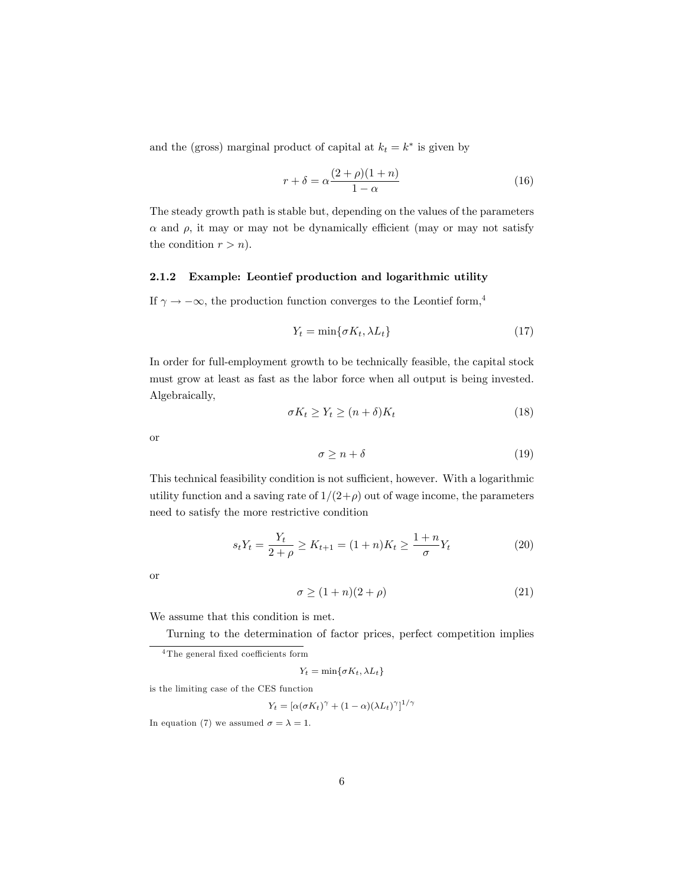and the (gross) marginal product of capital at  $k_t = k^*$  is given by

$$
r + \delta = \alpha \frac{(2+\rho)(1+n)}{1-\alpha} \tag{16}
$$

The steady growth path is stable but, depending on the values of the parameters  $\alpha$  and  $\rho$ , it may or may not be dynamically efficient (may or may not satisfy the condition  $r > n$ ).

#### 2.1.2 Example: Leontief production and logarithmic utility

If  $\gamma \to -\infty$ , the production function converges to the Leontief form,<sup>4</sup>

$$
Y_t = \min\{\sigma K_t, \lambda L_t\} \tag{17}
$$

In order for full-employment growth to be technically feasible, the capital stock must grow at least as fast as the labor force when all output is being invested. Algebraically,

$$
\sigma K_t \ge Y_t \ge (n+\delta)K_t \tag{18}
$$

or

$$
\sigma \ge n + \delta \tag{19}
$$

This technical feasibility condition is not sufficient, however. With a logarithmic utility function and a saving rate of  $1/(2+\rho)$  out of wage income, the parameters need to satisfy the more restrictive condition

$$
s_t Y_t = \frac{Y_t}{2+\rho} \ge K_{t+1} = (1+n)K_t \ge \frac{1+n}{\sigma} Y_t
$$
\n(20)

or

$$
\sigma \ge (1+n)(2+\rho) \tag{21}
$$

We assume that this condition is met.

Turning to the determination of factor prices, perfect competition implies

 $Y_t = \min\{\sigma K_t, \lambda L_t\}$ 

is the limiting case of the CES function

$$
Y_t = [\alpha(\sigma K_t)^{\gamma} + (1 - \alpha)(\lambda L_t)^{\gamma}]^{1/\gamma}
$$

In equation (7) we assumed  $\sigma = \lambda = 1$ .

 $4$ The general fixed coefficients form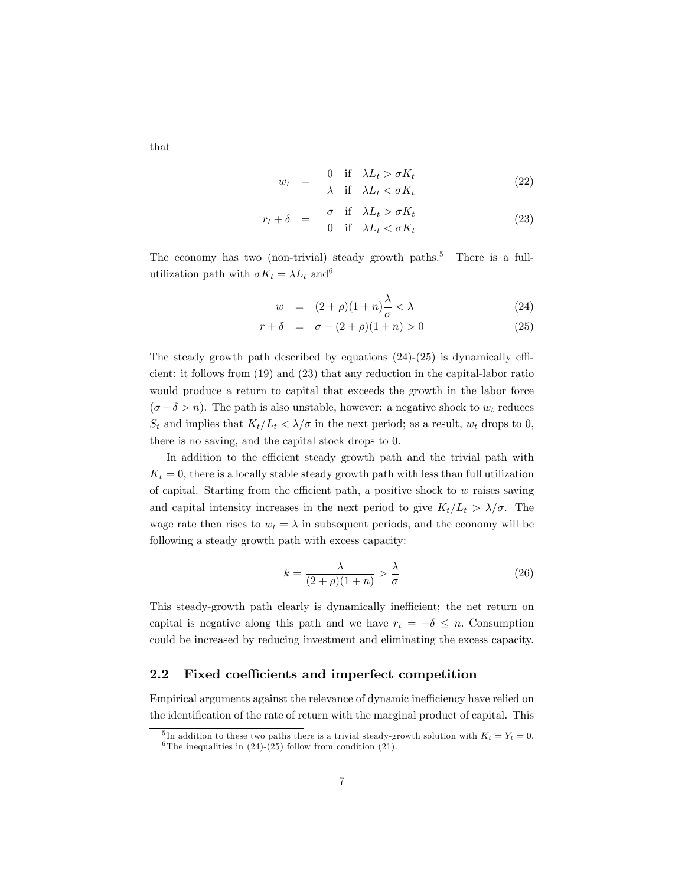that

$$
w_t = \begin{array}{cc} 0 & \text{if} \quad \lambda L_t > \sigma K_t \\ \lambda & \text{if} \quad \lambda L_t < \sigma K_t \end{array} \tag{22}
$$

$$
r_t + \delta = \begin{array}{cc} \sigma & \text{if} \quad \lambda L_t > \sigma K_t \\ 0 & \text{if} \quad \lambda L_t < \sigma K_t \end{array} \tag{23}
$$

The economy has two (non-trivial) steady growth paths.<sup>5</sup> There is a fullutilization path with  $\sigma K_t = \lambda L_t$  and<sup>6</sup>

$$
w = (2+\rho)(1+n)\frac{\lambda}{\sigma} < \lambda \tag{24}
$$

$$
r + \delta = \sigma - (2 + \rho)(1 + n) > 0 \tag{25}
$$

The steady growth path described by equations  $(24)-(25)$  is dynamically efficient: it follows from (19) and (23) that any reduction in the capital-labor ratio would produce a return to capital that exceeds the growth in the labor force  $(\sigma - \delta > n)$ . The path is also unstable, however: a negative shock to  $w_t$  reduces  $S_t$  and implies that  $K_t/L_t < \lambda/\sigma$  in the next period; as a result,  $w_t$  drops to 0, there is no saving, and the capital stock drops to 0:

In addition to the efficient steady growth path and the trivial path with  $K_t = 0$ , there is a locally stable steady growth path with less than full utilization of capital. Starting from the efficient path, a positive shock to  $w$  raises saving and capital intensity increases in the next period to give  $K_t/L_t > \lambda/\sigma$ . The wage rate then rises to  $w_t = \lambda$  in subsequent periods, and the economy will be following a steady growth path with excess capacity:

$$
k = \frac{\lambda}{(2+\rho)(1+n)} > \frac{\lambda}{\sigma}
$$
\n(26)

This steady-growth path clearly is dynamically inefficient; the net return on capital is negative along this path and we have  $r_t = -\delta \leq n$ . Consumption could be increased by reducing investment and eliminating the excess capacity.

#### 2.2 Fixed coefficients and imperfect competition

Empirical arguments against the relevance of dynamic inefficiency have relied on the identification of the rate of return with the marginal product of capital. This

<sup>&</sup>lt;sup>5</sup>In addition to these two paths there is a trivial steady-growth solution with  $K_t = Y_t = 0$ . <sup>6</sup>The inequalities in  $(24)-(25)$  follow from condition  $(21)$ .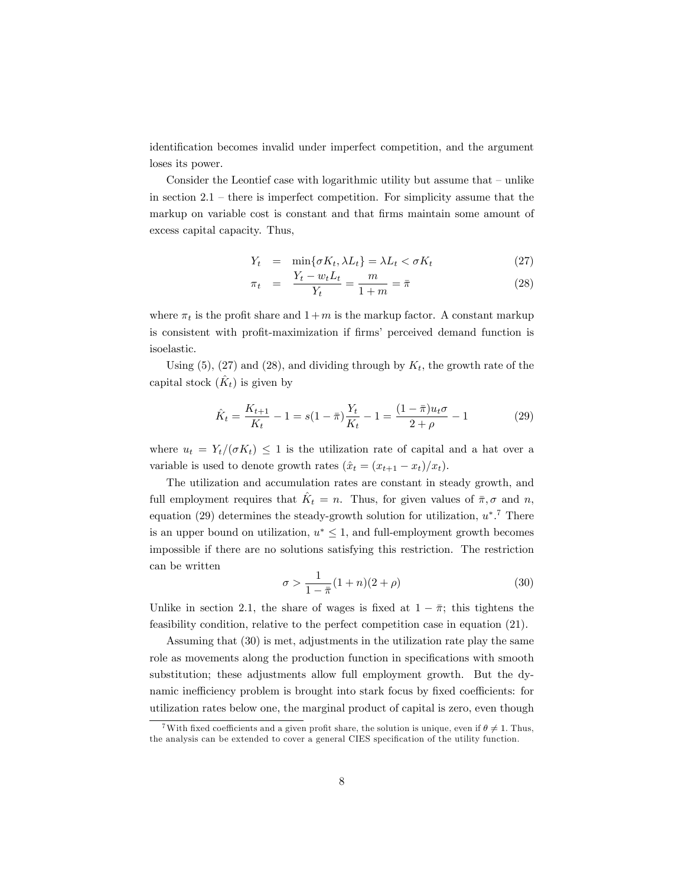identification becomes invalid under imperfect competition, and the argument loses its power.

Consider the Leontief case with logarithmic utility but assume that  $-\text{unlike}$ in section  $2.1$  – there is imperfect competition. For simplicity assume that the markup on variable cost is constant and that firms maintain some amount of excess capital capacity. Thus,

$$
Y_t = \min\{\sigma K_t, \lambda L_t\} = \lambda L_t < \sigma K_t \tag{27}
$$

$$
\pi_t = \frac{Y_t - w_t L_t}{Y_t} = \frac{m}{1 + m} = \bar{\pi}
$$
\n(28)

where  $\pi_t$  is the profit share and  $1 + m$  is the markup factor. A constant markup is consistent with profit-maximization if firms' perceived demand function is isoelastic.

Using (5), (27) and (28), and dividing through by  $K_t$ , the growth rate of the capital stock  $(\hat{K}_t)$  is given by

$$
\hat{K}_t = \frac{K_{t+1}}{K_t} - 1 = s(1 - \bar{\pi})\frac{Y_t}{K_t} - 1 = \frac{(1 - \bar{\pi})u_t\sigma}{2 + \rho} - 1
$$
\n(29)

where  $u_t = Y_t/(\sigma K_t) \leq 1$  is the utilization rate of capital and a hat over a variable is used to denote growth rates  $(\hat{x}_t = (x_{t+1} - x_t)/x_t).$ 

The utilization and accumulation rates are constant in steady growth, and full employment requires that  $\hat{K}_t = n$ . Thus, for given values of  $\bar{\pi}, \sigma$  and n, equation (29) determines the steady-growth solution for utilization,  $u^*$ .<sup>7</sup> There is an upper bound on utilization,  $u^* \leq 1$ , and full-employment growth becomes impossible if there are no solutions satisfying this restriction. The restriction can be written

$$
\sigma > \frac{1}{1 - \bar{\pi}} (1 + n)(2 + \rho) \tag{30}
$$

Unlike in section 2.1, the share of wages is fixed at  $1 - \bar{\pi}$ ; this tightens the feasibility condition, relative to the perfect competition case in equation (21).

Assuming that (30) is met; adjustments in the utilization rate play the same role as movements along the production function in specifications with smooth substitution; these adjustments allow full employment growth. But the dynamic inefficiency problem is brought into stark focus by fixed coefficients: for utilization rates below one, the marginal product of capital is zero, even though

<sup>&</sup>lt;sup>7</sup>With fixed coefficients and a given profit share, the solution is unique, even if  $\theta \neq 1$ . Thus, the analysis can be extended to cover a general CIES specification of the utility function.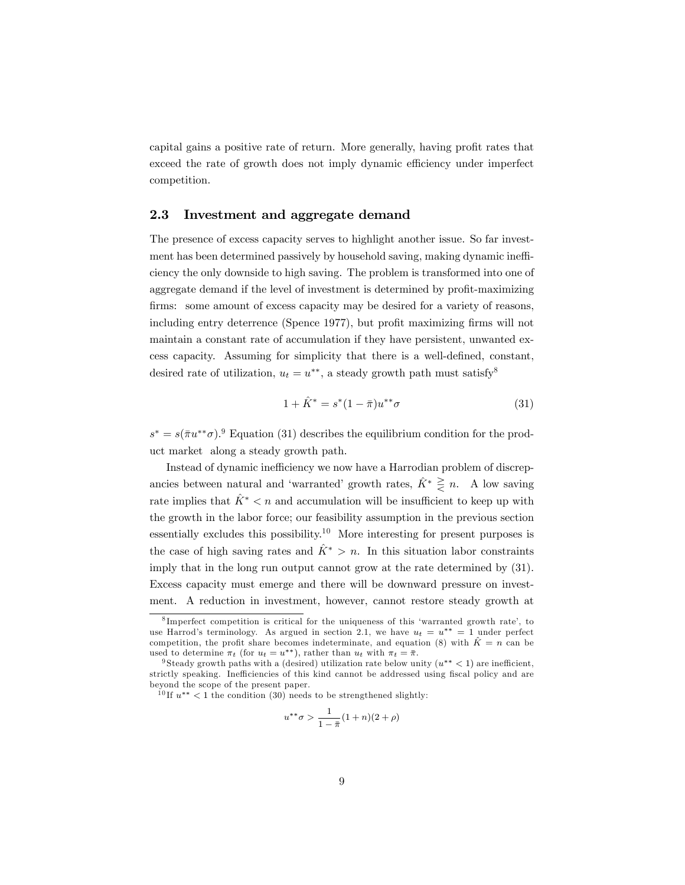capital gains a positive rate of return. More generally, having profit rates that exceed the rate of growth does not imply dynamic efficiency under imperfect competition.

#### 2.3 Investment and aggregate demand

The presence of excess capacity serves to highlight another issue. So far investment has been determined passively by household saving, making dynamic inefficiency the only downside to high saving. The problem is transformed into one of aggregate demand if the level of investment is determined by profit-maximizing firms: some amount of excess capacity may be desired for a variety of reasons, including entry deterrence (Spence 1977), but profit maximizing firms will not maintain a constant rate of accumulation if they have persistent, unwanted excess capacity. Assuming for simplicity that there is a well-defined, constant, desired rate of utilization,  $u_t = u^{**}$ , a steady growth path must satisfy<sup>8</sup>

$$
1 + \hat{K}^* = s^*(1 - \bar{\pi})u^{**}\sigma \tag{31}
$$

 $s^* = s(\bar{\pi}u^{**}\sigma)^{9}$  Equation (31) describes the equilibrium condition for the product market along a steady growth path.

Instead of dynamic inefficiency we now have a Harrodian problem of discrepancies between natural and 'warranted' growth rates,  $\hat{K}^* \geq n$ . A low saving rate implies that  $\hat{K}^* < n$  and accumulation will be insufficient to keep up with the growth in the labor force; our feasibility assumption in the previous section essentially excludes this possibility.<sup>10</sup> More interesting for present purposes is the case of high saving rates and  $\hat{K}^* > n$ . In this situation labor constraints imply that in the long run output cannot grow at the rate determined by (31). Excess capacity must emerge and there will be downward pressure on investment. A reduction in investment, however, cannot restore steady growth at

$$
u^{**}\sigma > \frac{1}{1-\bar{\pi}}(1+n)(2+\rho)
$$

<sup>&</sup>lt;sup>8</sup>Imperfect competition is critical for the uniqueness of this 'warranted growth rate', to use Harrod's terminology. As argued in section 2.1, we have  $u_t = u^{**} = 1$  under perfect competition, the profit share becomes indeterminate, and equation (8) with  $\hat{K} = n$  can be used to determine  $\pi_t$  (for  $u_t = u^{**}$ ), rather than  $u_t$  with  $\pi_t = \bar{\pi}$ .

<sup>&</sup>lt;sup>9</sup> Steady growth paths with a (desired) utilization rate below unity  $(u^{**} < 1)$  are inefficient, strictly speaking. Inefficiencies of this kind cannot be addressed using fiscal policy and are beyond the scope of the present paper.

<sup>&</sup>lt;sup>10</sup> If  $u^{**}$  < 1 the condition (30) needs to be strengthened slightly: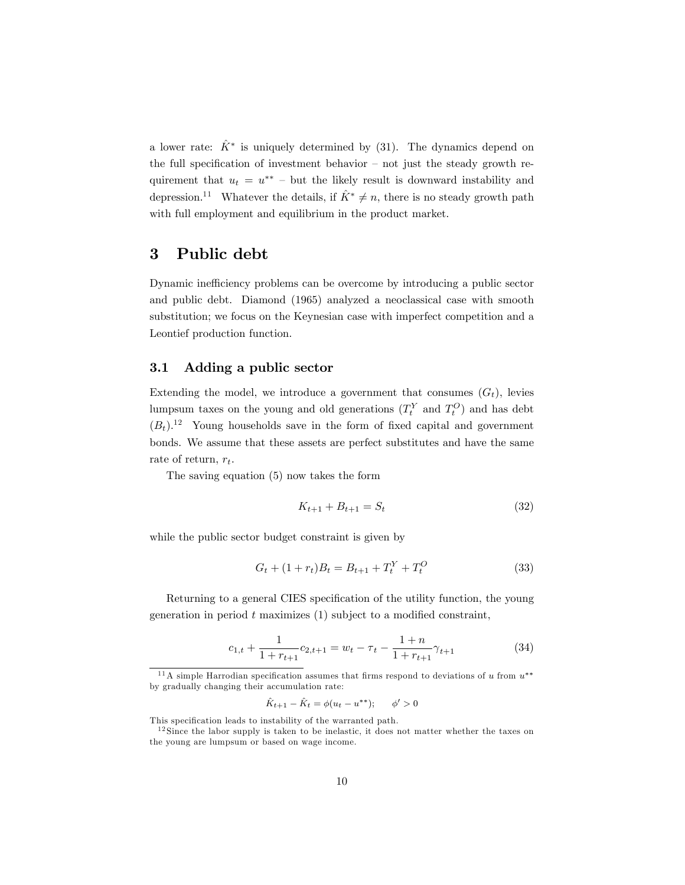a lower rate:  $\hat{K}^*$  is uniquely determined by (31). The dynamics depend on the full specification of investment behavior  $-$  not just the steady growth requirement that  $u_t = u^{**}$  – but the likely result is downward instability and depression.<sup>11</sup> Whatever the details, if  $\hat{K}^* \neq n$ , there is no steady growth path with full employment and equilibrium in the product market.

# 3 Public debt

Dynamic inefficiency problems can be overcome by introducing a public sector and public debt. Diamond (1965) analyzed a neoclassical case with smooth substitution; we focus on the Keynesian case with imperfect competition and a Leontief production function.

#### 3.1 Adding a public sector

Extending the model, we introduce a government that consumes  $(G_t)$ , levies lumpsum taxes on the young and old generations  $(T_t^Y$  and  $T_t^O$ ) and has debt  $(B_t)$ .<sup>12</sup> Young households save in the form of fixed capital and government bonds. We assume that these assets are perfect substitutes and have the same rate of return,  $r_t$ .

The saving equation (5) now takes the form

$$
K_{t+1} + B_{t+1} = S_t \tag{32}
$$

while the public sector budget constraint is given by

$$
G_t + (1 + r_t)B_t = B_{t+1} + T_t^Y + T_t^O \tag{33}
$$

Returning to a general CIES specification of the utility function, the young generation in period  $t$  maximizes  $(1)$  subject to a modified constraint,

$$
c_{1,t} + \frac{1}{1 + r_{t+1}} c_{2,t+1} = w_t - \tau_t - \frac{1+n}{1 + r_{t+1}} \gamma_{t+1}
$$
(34)

$$
\hat{K}_{t+1} - \hat{K}_t = \phi(u_t - u^{**}); \quad \phi' > 0
$$

<sup>&</sup>lt;sup>11</sup> A simple Harrodian specification assumes that firms respond to deviations of u from  $u^{**}$ by gradually changing their accumulation rate:

This specification leads to instability of the warranted path.

 $12$  Since the labor supply is taken to be inelastic, it does not matter whether the taxes on the young are lumpsum or based on wage income.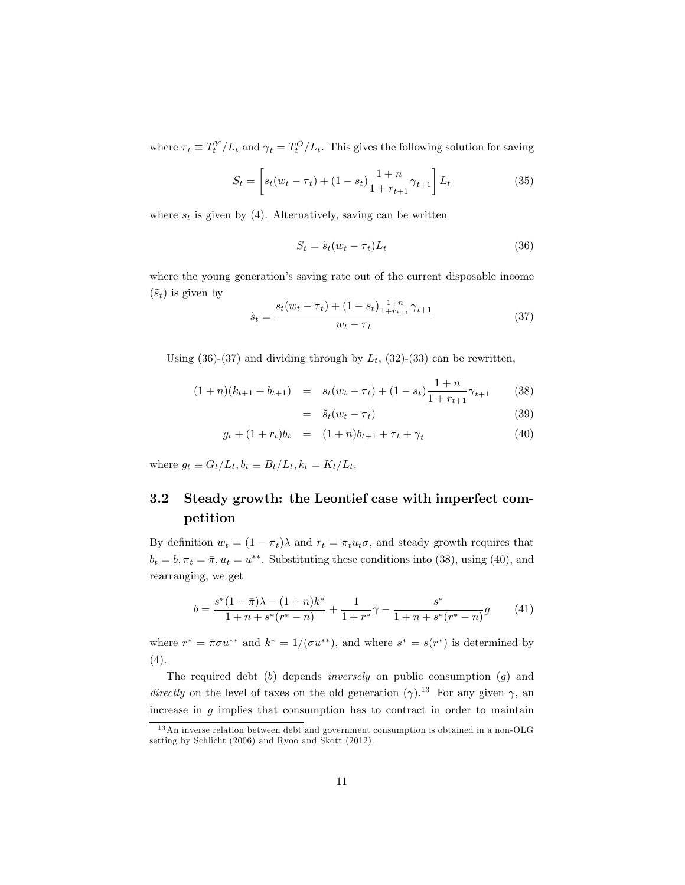where  $\tau_t \equiv T_t^Y/L_t$  and  $\gamma_t = T_t^O/L_t$ . This gives the following solution for saving

$$
S_t = \left[ s_t (w_t - \tau_t) + (1 - s_t) \frac{1 + n}{1 + r_{t+1}} \gamma_{t+1} \right] L_t \tag{35}
$$

where  $s_t$  is given by (4). Alternatively, saving can be written

$$
S_t = \tilde{s}_t (w_t - \tau_t) L_t \tag{36}
$$

where the young generation's saving rate out of the current disposable income  $(\tilde{s}_t)$  is given by

$$
\tilde{s}_t = \frac{s_t(w_t - \tau_t) + (1 - s_t)\frac{1 + n}{1 + r_{t+1}}\gamma_{t+1}}{w_t - \tau_t} \tag{37}
$$

Using (36)-(37) and dividing through by  $L_t$ , (32)-(33) can be rewritten,

$$
(1+n)(k_{t+1} + b_{t+1}) = s_t(w_t - \tau_t) + (1 - s_t) \frac{1+n}{1 + r_{t+1}} \gamma_{t+1}
$$
 (38)

$$
= \tilde{s}_t(w_t - \tau_t) \tag{39}
$$

$$
g_t + (1 + r_t)b_t = (1 + n)b_{t+1} + \tau_t + \gamma_t \tag{40}
$$

where  $g_t \equiv G_t/L_t, b_t \equiv B_t/L_t, k_t = K_t/L_t$ .

### 3.2 Steady growth: the Leontief case with imperfect competition

By definition  $w_t = (1 - \pi_t)\lambda$  and  $r_t = \pi_t u_t \sigma$ , and steady growth requires that  $b_t = b, \pi_t = \bar{\pi}, u_t = u^{**}$ . Substituting these conditions into (38), using (40), and rearranging, we get

$$
b = \frac{s^*(1-\bar{\pi})\lambda - (1+n)k^*}{1+n+s^*(r^*-n)} + \frac{1}{1+r^*}\gamma - \frac{s^*}{1+n+s^*(r^*-n)}g \qquad (41)
$$

where  $r^* = \pi \sigma u^{**}$  and  $k^* = 1/(\sigma u^{**})$ , and where  $s^* = s(r^*)$  is determined by (4).

The required debt  $(b)$  depends *inversely* on public consumption  $(g)$  and directly on the level of taxes on the old generation  $(\gamma)$ .<sup>13</sup> For any given  $\gamma$ , an increase in  $g$  implies that consumption has to contract in order to maintain

<sup>1 3</sup>An inverse relation between debt and government consumption is obtained in a non-OLG setting by Schlicht (2006) and Ryoo and Skott (2012).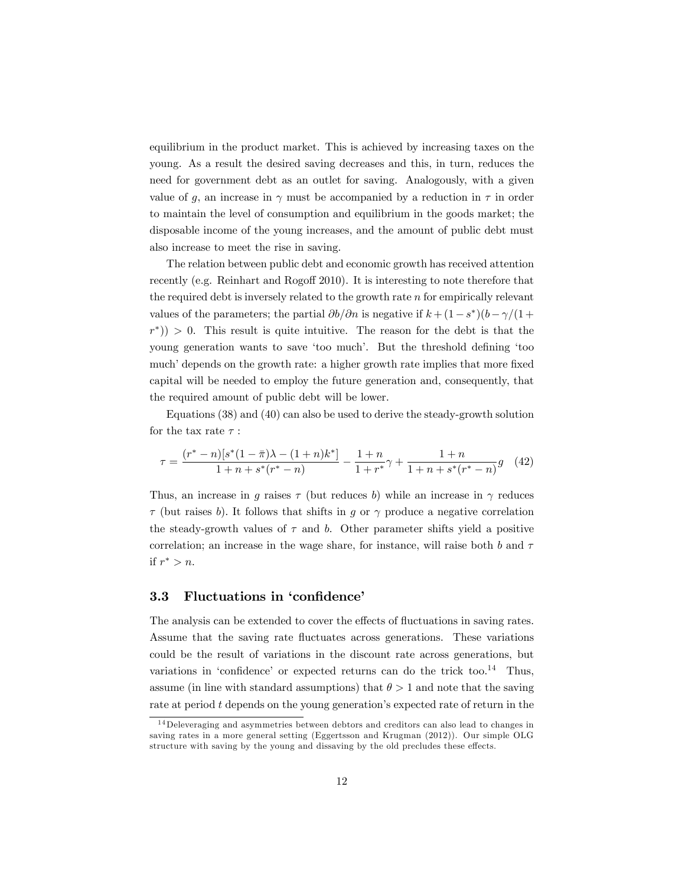equilibrium in the product market. This is achieved by increasing taxes on the young. As a result the desired saving decreases and this, in turn, reduces the need for government debt as an outlet for saving. Analogously, with a given value of g, an increase in  $\gamma$  must be accompanied by a reduction in  $\tau$  in order to maintain the level of consumption and equilibrium in the goods market; the disposable income of the young increases, and the amount of public debt must also increase to meet the rise in saving.

The relation between public debt and economic growth has received attention recently (e.g. Reinhart and Rogoff 2010). It is interesting to note therefore that the required debt is inversely related to the growth rate  $n$  for empirically relevant values of the parameters; the partial  $\partial b/\partial n$  is negative if  $k + (1 - s^*)(b - \gamma/(1 +$  $(r^*)$ ) > 0. This result is quite intuitive. The reason for the debt is that the young generation wants to save 'too much'. But the threshold defining 'too much<sup>†</sup> depends on the growth rate: a higher growth rate implies that more fixed capital will be needed to employ the future generation and, consequently, that the required amount of public debt will be lower.

Equations (38) and (40) can also be used to derive the steady-growth solution for the tax rate  $\tau$  :

$$
\tau = \frac{(r^* - n)[s^*(1 - \bar{\pi})\lambda - (1 + n)k^*]}{1 + n + s^*(r^* - n)} - \frac{1 + n}{1 + r^*}\gamma + \frac{1 + n}{1 + n + s^*(r^* - n)}g \quad (42)
$$

Thus, an increase in q raises  $\tau$  (but reduces b) while an increase in  $\gamma$  reduces  $\tau$  (but raises b). It follows that shifts in q or  $\gamma$  produce a negative correlation the steady-growth values of  $\tau$  and b. Other parameter shifts yield a positive correlation; an increase in the wage share, for instance, will raise both b and  $\tau$ if  $r^* > n$ .

#### 3.3 Fluctuations in 'confidence'

The analysis can be extended to cover the effects of fluctuations in saving rates. Assume that the saving rate fluctuates across generations. These variations could be the result of variations in the discount rate across generations, but variations in 'confidence' or expected returns can do the trick too.<sup>14</sup> Thus, assume (in line with standard assumptions) that  $\theta > 1$  and note that the saving rate at period  $t$  depends on the young generation's expected rate of return in the

<sup>&</sup>lt;sup>14</sup>Deleveraging and asymmetries between debtors and creditors can also lead to changes in saving rates in a more general setting (Eggertsson and Krugman (2012)). Our simple OLG structure with saving by the young and dissaving by the old precludes these effects.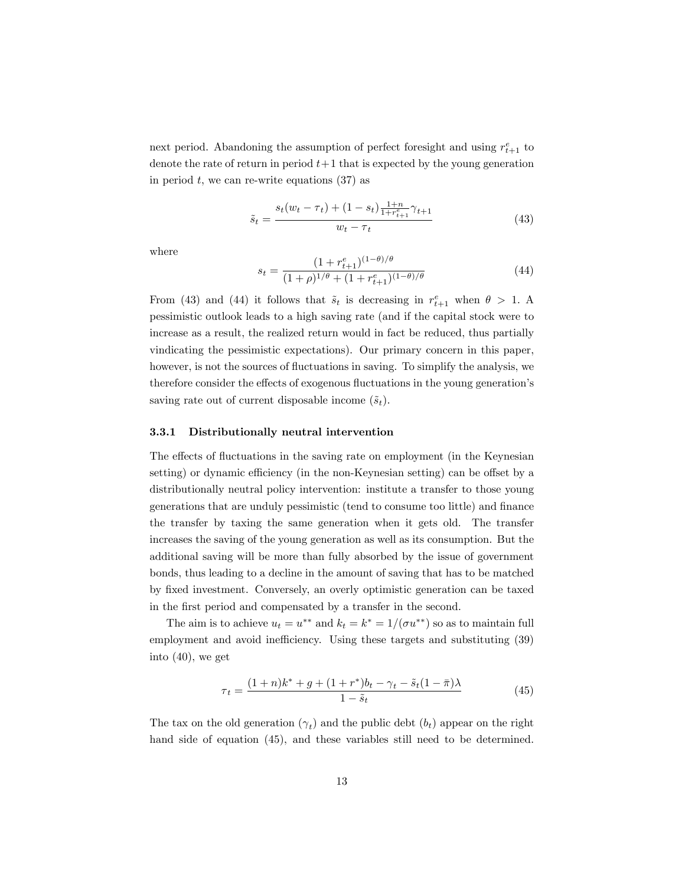next period. Abandoning the assumption of perfect foresight and using  $r_{t+1}^e$  to denote the rate of return in period  $t+1$  that is expected by the young generation in period  $t$ , we can re-write equations  $(37)$  as

$$
\tilde{s}_t = \frac{s_t(w_t - \tau_t) + (1 - s_t)\frac{1+n}{1 + r_{t+1}^e} \gamma_{t+1}}{w_t - \tau_t} \tag{43}
$$

where

$$
s_t = \frac{(1 + r_{t+1}^e)^{(1-\theta)/\theta}}{(1+\rho)^{1/\theta} + (1 + r_{t+1}^e)^{(1-\theta)/\theta}}
$$
(44)

From (43) and (44) it follows that  $\tilde{s}_t$  is decreasing in  $r_{t+1}^e$  when  $\theta > 1$ . A pessimistic outlook leads to a high saving rate (and if the capital stock were to increase as a result, the realized return would in fact be reduced, thus partially vindicating the pessimistic expectations). Our primary concern in this paper, however, is not the sources of fluctuations in saving. To simplify the analysis, we therefore consider the effects of exogenous fluctuations in the young generation's saving rate out of current disposable income  $(\tilde{s}_t)$ .

#### 3.3.1 Distributionally neutral intervention

The effects of fluctuations in the saving rate on employment (in the Keynesian setting) or dynamic efficiency (in the non-Keynesian setting) can be offset by a distributionally neutral policy intervention: institute a transfer to those young generations that are unduly pessimistic (tend to consume too little) and Önance the transfer by taxing the same generation when it gets old. The transfer increases the saving of the young generation as well as its consumption. But the additional saving will be more than fully absorbed by the issue of government bonds, thus leading to a decline in the amount of saving that has to be matched by Öxed investment. Conversely, an overly optimistic generation can be taxed in the first period and compensated by a transfer in the second.

The aim is to achieve  $u_t = u^{**}$  and  $k_t = k^* = 1/(\sigma u^{**})$  so as to maintain full employment and avoid inefficiency. Using these targets and substituting (39) into (40), we get

$$
\tau_t = \frac{(1+n)k^* + g + (1+r^*)b_t - \gamma_t - \tilde{s}_t(1-\bar{\pi})\lambda}{1-\tilde{s}_t} \tag{45}
$$

The tax on the old generation  $(\gamma_t)$  and the public debt  $(b_t)$  appear on the right hand side of equation (45), and these variables still need to be determined.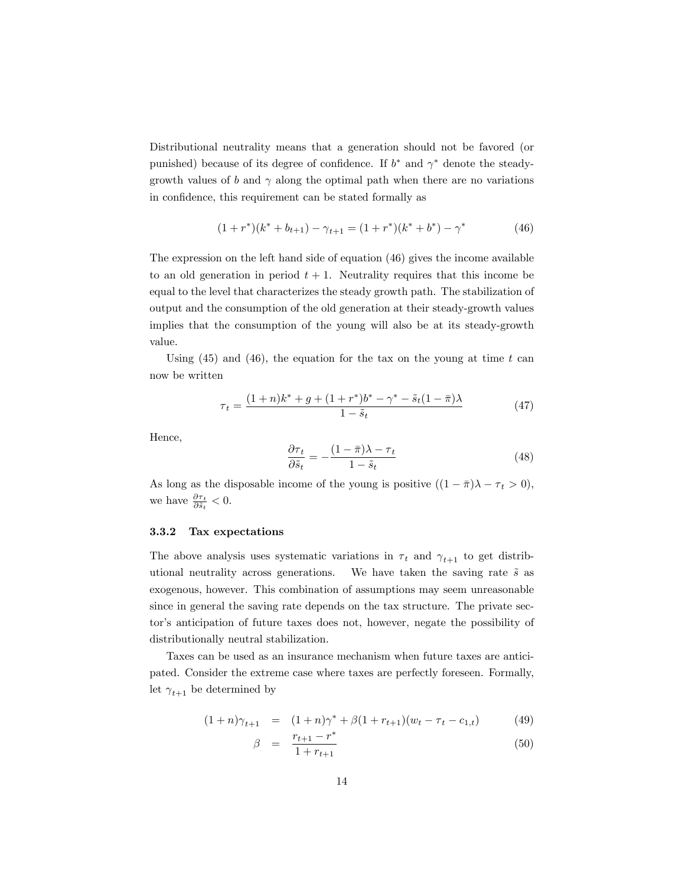Distributional neutrality means that a generation should not be favored (or punished) because of its degree of confidence. If  $b^*$  and  $\gamma^*$  denote the steadygrowth values of b and  $\gamma$  along the optimal path when there are no variations in confidence, this requirement can be stated formally as

$$
(1+r^*)(k^* + b_{t+1}) - \gamma_{t+1} = (1+r^*)(k^* + b^*) - \gamma^*
$$
\n(46)

The expression on the left hand side of equation (46) gives the income available to an old generation in period  $t + 1$ . Neutrality requires that this income be equal to the level that characterizes the steady growth path. The stabilization of output and the consumption of the old generation at their steady-growth values implies that the consumption of the young will also be at its steady-growth value.

Using  $(45)$  and  $(46)$ , the equation for the tax on the young at time t can now be written

$$
\tau_t = \frac{(1+n)k^* + g + (1+r^*)b^* - \gamma^* - \tilde{s}_t(1-\bar{\pi})\lambda}{1-\tilde{s}_t} \tag{47}
$$

Hence,

$$
\frac{\partial \tau_t}{\partial \tilde{s}_t} = -\frac{(1 - \bar{\pi})\lambda - \tau_t}{1 - \tilde{s}_t} \tag{48}
$$

As long as the disposable income of the young is positive  $((1 - \overline{\pi})\lambda - \tau_t > 0)$ , we have  $\frac{\partial \tau_t}{\partial \tilde{s}_t} < 0$ .

#### 3.3.2 Tax expectations

The above analysis uses systematic variations in  $\tau_t$  and  $\gamma_{t+1}$  to get distributional neutrality across generations. We have taken the saving rate  $\tilde{s}$  as exogenous, however. This combination of assumptions may seem unreasonable since in general the saving rate depends on the tax structure. The private sector's anticipation of future taxes does not, however, negate the possibility of distributionally neutral stabilization.

Taxes can be used as an insurance mechanism when future taxes are anticipated. Consider the extreme case where taxes are perfectly foreseen. Formally, let  $\gamma_{t+1}$  be determined by

$$
(1+n)\gamma_{t+1} = (1+n)\gamma^* + \beta(1+r_{t+1})(w_t - \tau_t - c_{1,t}) \tag{49}
$$

$$
\beta = \frac{r_{t+1} - r^*}{1 + r_{t+1}} \tag{50}
$$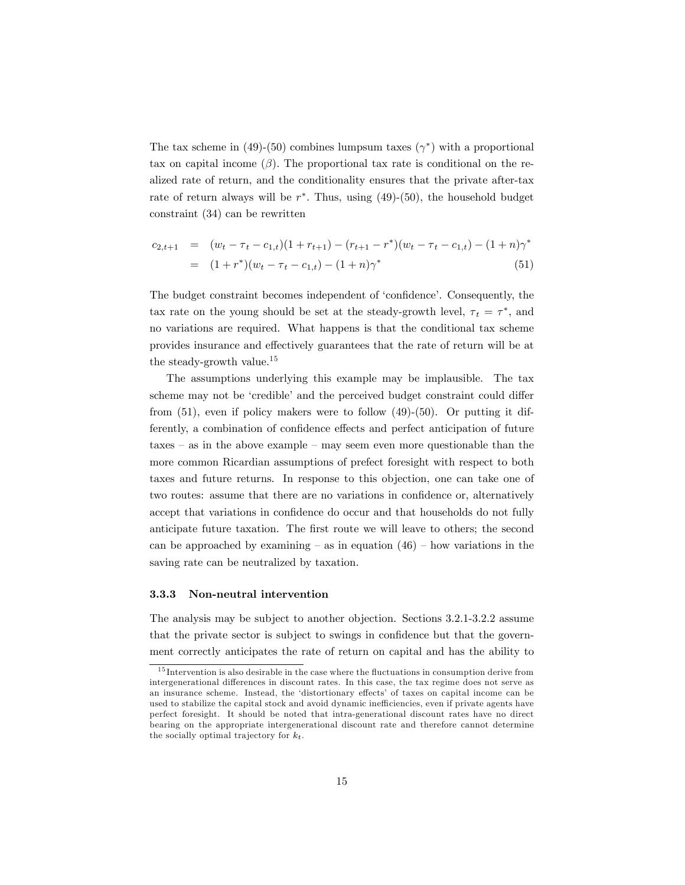The tax scheme in (49)-(50) combines lumpsum taxes  $(\gamma^*)$  with a proportional tax on capital income  $(\beta)$ . The proportional tax rate is conditional on the realized rate of return, and the conditionality ensures that the private after-tax rate of return always will be  $r^*$ . Thus, using  $(49)-(50)$ , the household budget constraint (34) can be rewritten

$$
c_{2,t+1} = (w_t - \tau_t - c_{1,t})(1 + r_{t+1}) - (r_{t+1} - r^*)(w_t - \tau_t - c_{1,t}) - (1 + n)\gamma^*
$$
  
= 
$$
(1 + r^*)(w_t - \tau_t - c_{1,t}) - (1 + n)\gamma^*
$$
(51)

The budget constraint becomes independent of 'confidence'. Consequently, the tax rate on the young should be set at the steady-growth level,  $\tau_t = \tau^*$ , and no variations are required. What happens is that the conditional tax scheme provides insurance and effectively guarantees that the rate of return will be at the steady-growth value.<sup>15</sup>

The assumptions underlying this example may be implausible. The tax scheme may not be 'credible' and the perceived budget constraint could differ from (51), even if policy makers were to follow (49)-(50). Or putting it differently, a combination of confidence effects and perfect anticipation of future taxes  $-$  as in the above example  $-$  may seem even more questionable than the more common Ricardian assumptions of prefect foresight with respect to both taxes and future returns. In response to this objection, one can take one of two routes: assume that there are no variations in confidence or, alternatively accept that variations in confidence do occur and that households do not fully anticipate future taxation. The first route we will leave to others; the second can be approached by examining  $-\text{ as in equation } (46) - \text{how variations in the}$ saving rate can be neutralized by taxation.

#### 3.3.3 Non-neutral intervention

The analysis may be subject to another objection. Sections 3.2.1-3.2.2 assume that the private sector is subject to swings in confidence but that the government correctly anticipates the rate of return on capital and has the ability to

 $15$  Intervention is also desirable in the case where the fluctuations in consumption derive from intergenerational differences in discount rates. In this case, the tax regime does not serve as an insurance scheme. Instead, the 'distortionary effects' of taxes on capital income can be used to stabilize the capital stock and avoid dynamic inefficiencies, even if private agents have perfect foresight. It should be noted that intra-generational discount rates have no direct bearing on the appropriate intergenerational discount rate and therefore cannot determine the socially optimal trajectory for  $k_t$ .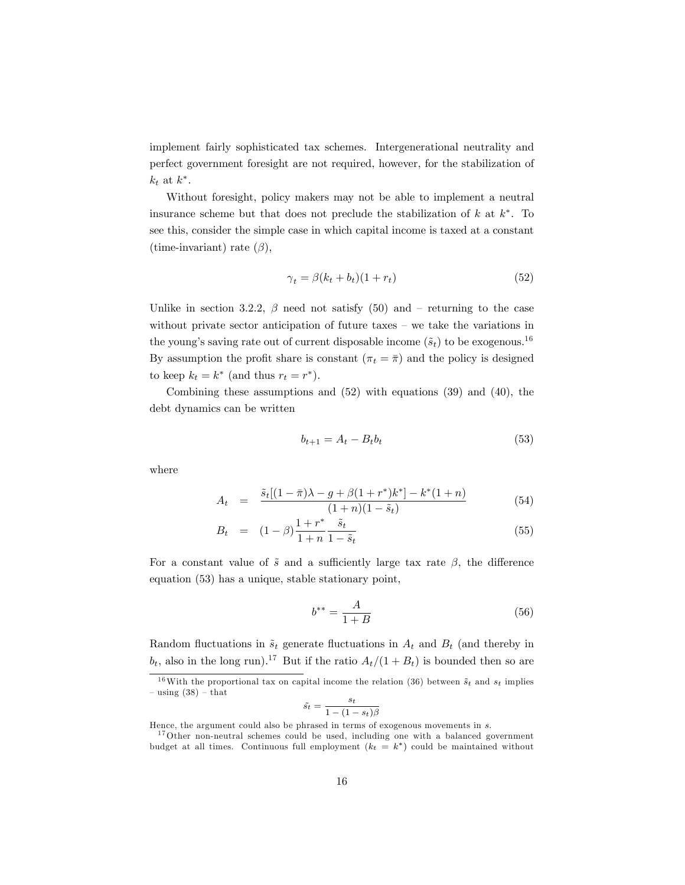implement fairly sophisticated tax schemes. Intergenerational neutrality and perfect government foresight are not required, however, for the stabilization of  $k_t$  at  $k^*$ .

Without foresight, policy makers may not be able to implement a neutral insurance scheme but that does not preclude the stabilization of  $k$  at  $k^*$ . To see this, consider the simple case in which capital income is taxed at a constant  $(\text{time-invariant})$  rate  $(\beta)$ ,

$$
\gamma_t = \beta(k_t + b_t)(1 + r_t) \tag{52}
$$

Unlike in section 3.2.2,  $\beta$  need not satisfy (50) and – returning to the case without private sector anticipation of future taxes  $-$  we take the variations in the young's saving rate out of current disposable income  $(\tilde{s}_t)$  to be exogenous.<sup>16</sup> By assumption the profit share is constant  $(\pi_t = \overline{\pi})$  and the policy is designed to keep  $k_t = k^*$  (and thus  $r_t = r^*$ ).

Combining these assumptions and (52) with equations (39) and (40), the debt dynamics can be written

$$
b_{t+1} = A_t - B_t b_t \tag{53}
$$

where

$$
A_t = \frac{\tilde{s}_t[(1-\bar{\pi})\lambda - g + \beta(1+r^*)k^*] - k^*(1+n)}{(1+n)(1-\tilde{s}_t)}
$$
(54)

$$
B_t = (1 - \beta) \frac{1 + r^*}{1 + n} \frac{\tilde{s}_t}{1 - \tilde{s}_t}
$$
\n(55)

For a constant value of  $\tilde{s}$  and a sufficiently large tax rate  $\beta$ , the difference equation (53) has a unique, stable stationary point,

$$
b^{**} = \frac{A}{1+B} \tag{56}
$$

Random fluctuations in  $\tilde{s}_t$  generate fluctuations in  $A_t$  and  $B_t$  (and thereby in  $b_t$ , also in the long run).<sup>17</sup> But if the ratio  $A_t/(1 + B_t)$  is bounded then so are

$$
\tilde{s_t} = \frac{s_t}{1 - (1 - s_t)\beta}
$$

Hence, the argument could also be phrased in terms of exogenous movements in  $s$ .

<sup>&</sup>lt;sup>16</sup>With the proportional tax on capital income the relation (36) between  $\tilde{s}_t$  and  $s_t$  implies  $-$  using  $(38)$  – that

<sup>&</sup>lt;sup>17</sup>Other non-neutral schemes could be used, including one with a balanced government budget at all times. Continuous full employment  $(k_t = k^*)$  could be maintained without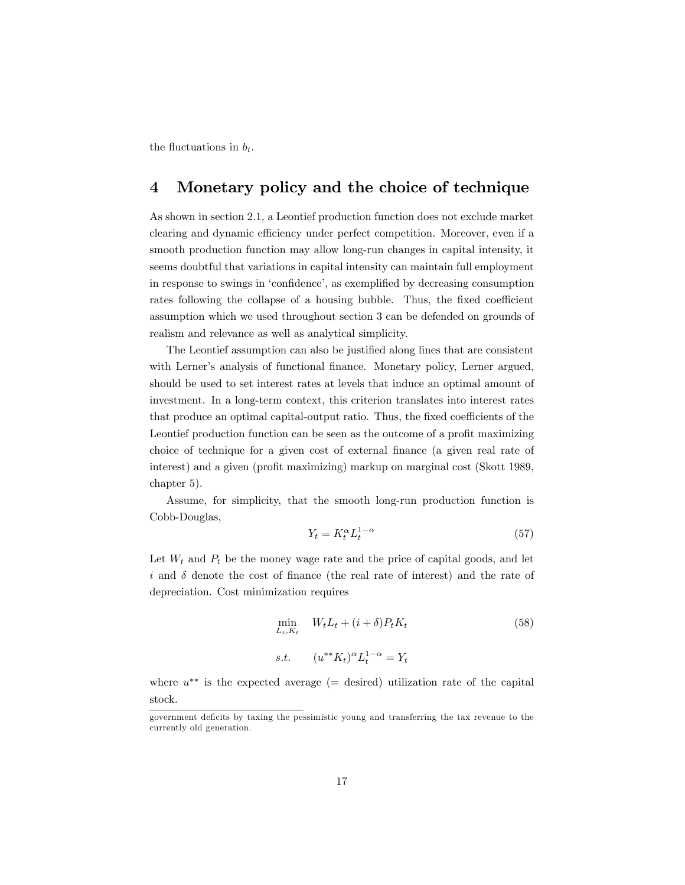the fluctuations in  $b_t$ .

### 4 Monetary policy and the choice of technique

As shown in section 2.1, a Leontief production function does not exclude market clearing and dynamic efficiency under perfect competition. Moreover, even if a smooth production function may allow long-run changes in capital intensity, it seems doubtful that variations in capital intensity can maintain full employment in response to swings in 'confidence', as exemplified by decreasing consumption rates following the collapse of a housing bubble. Thus, the fixed coefficient assumption which we used throughout section 3 can be defended on grounds of realism and relevance as well as analytical simplicity.

The Leontief assumption can also be justified along lines that are consistent with Lerner's analysis of functional finance. Monetary policy, Lerner argued, should be used to set interest rates at levels that induce an optimal amount of investment. In a long-term context, this criterion translates into interest rates that produce an optimal capital-output ratio. Thus, the fixed coefficients of the Leontief production function can be seen as the outcome of a profit maximizing choice of technique for a given cost of external finance (a given real rate of interest) and a given (profit maximizing) markup on marginal cost (Skott 1989, chapter 5).

Assume, for simplicity, that the smooth long-run production function is Cobb-Douglas,

$$
Y_t = K_t^{\alpha} L_t^{1-\alpha} \tag{57}
$$

Let  $W_t$  and  $P_t$  be the money wage rate and the price of capital goods, and let  $i$  and  $\delta$  denote the cost of finance (the real rate of interest) and the rate of depreciation. Cost minimization requires

$$
\min_{L_t, K_t} \quad W_t L_t + (i + \delta) P_t K_t
$$
\n
$$
s.t. \quad (u^{**} K_t)^{\alpha} L_t^{1-\alpha} = Y_t
$$
\n
$$
(58)
$$

where  $u^{**}$  is the expected average (= desired) utilization rate of the capital stock.

government deÖcits by taxing the pessimistic young and transferring the tax revenue to the currently old generation.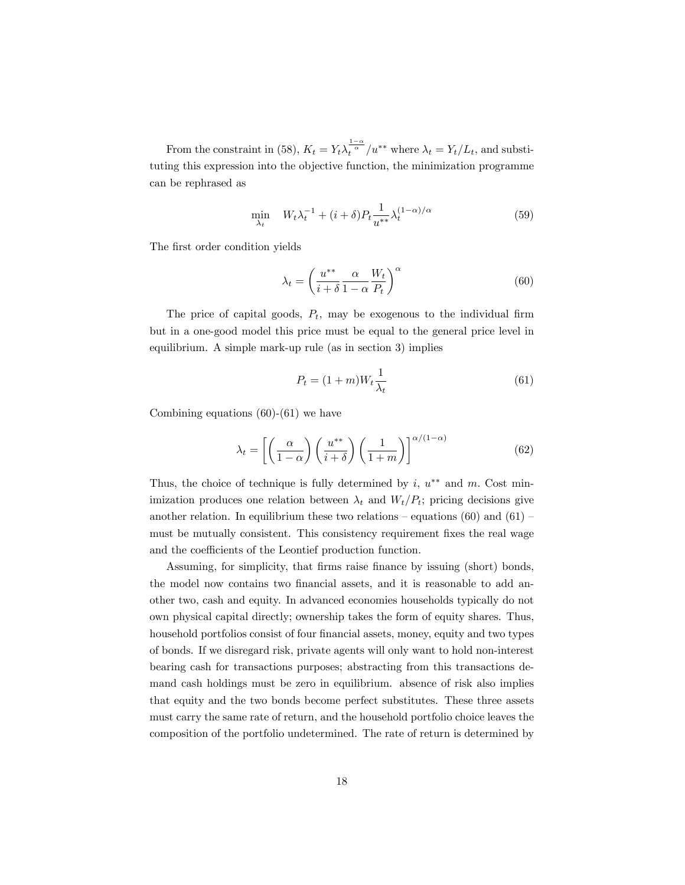From the constraint in (58),  $K_t = Y_t \lambda_t^{\frac{1-\alpha}{\alpha}}/u^{**}$  where  $\lambda_t = Y_t/L_t$ , and substituting this expression into the objective function, the minimization programme can be rephrased as

$$
\min_{\lambda_t} \quad W_t \lambda_t^{-1} + (i + \delta) P_t \frac{1}{u^{**}} \lambda_t^{(1-\alpha)/\alpha} \tag{59}
$$

The first order condition yields

$$
\lambda_t = \left(\frac{u^{**}}{i+\delta} \frac{\alpha}{1-\alpha} \frac{W_t}{P_t}\right)^{\alpha} \tag{60}
$$

The price of capital goods,  $P_t$ , may be exogenous to the individual firm but in a one-good model this price must be equal to the general price level in equilibrium. A simple mark-up rule (as in section 3) implies

$$
P_t = (1+m)W_t \frac{1}{\lambda_t} \tag{61}
$$

Combining equations  $(60)-(61)$  we have

$$
\lambda_t = \left[ \left( \frac{\alpha}{1 - \alpha} \right) \left( \frac{u^{**}}{i + \delta} \right) \left( \frac{1}{1 + m} \right) \right]^{\alpha / (1 - \alpha)} \tag{62}
$$

Thus, the choice of technique is fully determined by  $i, u^{**}$  and  $m$ . Cost minimization produces one relation between  $\lambda_t$  and  $W_t/P_t$ ; pricing decisions give another relation. In equilibrium these two relations  $\sim$  equations (60) and (61)  $\sim$ must be mutually consistent. This consistency requirement fixes the real wage and the coefficients of the Leontief production function.

Assuming, for simplicity, that firms raise finance by issuing (short) bonds, the model now contains two financial assets, and it is reasonable to add another two, cash and equity. In advanced economies households typically do not own physical capital directly; ownership takes the form of equity shares. Thus, household portfolios consist of four financial assets, money, equity and two types of bonds. If we disregard risk, private agents will only want to hold non-interest bearing cash for transactions purposes; abstracting from this transactions demand cash holdings must be zero in equilibrium. absence of risk also implies that equity and the two bonds become perfect substitutes. These three assets must carry the same rate of return, and the household portfolio choice leaves the composition of the portfolio undetermined. The rate of return is determined by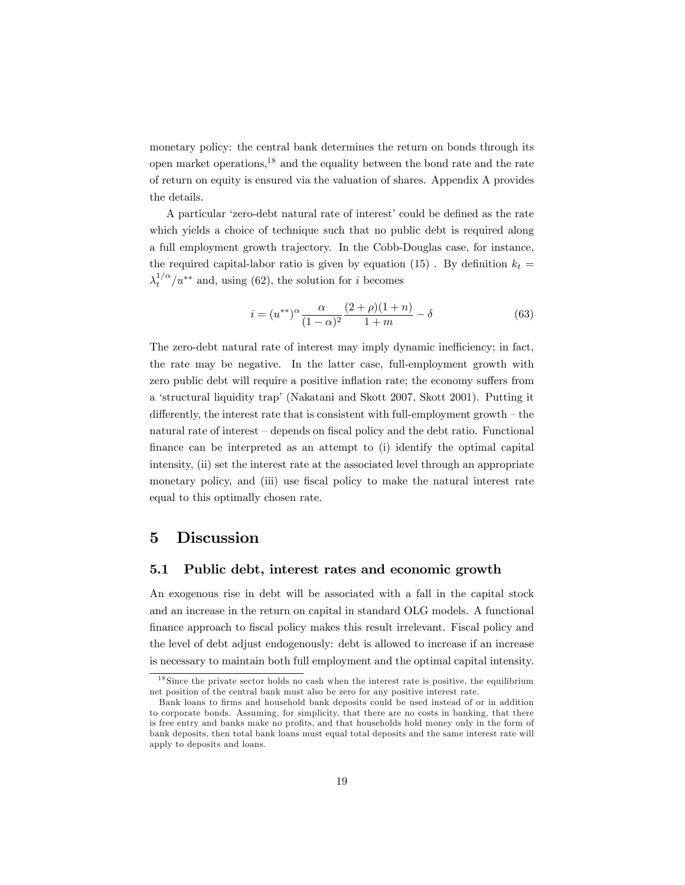monetary policy: the central bank determines the return on bonds through its open market operations, $18$  and the equality between the bond rate and the rate of return on equity is ensured via the valuation of shares. Appendix A provides the details.

A particular 'zero-debt natural rate of interest' could be defined as the rate which yields a choice of technique such that no public debt is required along a full employment growth trajectory. In the Cobb-Douglas case, for instance, the required capital-labor ratio is given by equation (15). By definition  $k_t =$  $\lambda_t^{1/\alpha}/u^{**}$  and, using (62), the solution for *i* becomes

$$
i = (u^{**})^{\alpha} \frac{\alpha}{(1-\alpha)^2} \frac{(2+\rho)(1+n)}{1+m} - \delta
$$
 (63)

The zero-debt natural rate of interest may imply dynamic inefficiency; in fact, the rate may be negative. In the latter case, full-employment growth with zero public debt will require a positive inflation rate; the economy suffers from a ëstructural liquidity trapí(Nakatani and Skott 2007, Skott 2001). Putting it differently, the interest rate that is consistent with full-employment growth  $-$  the natural rate of interest  $-\neq$  depends on fiscal policy and the debt ratio. Functional finance can be interpreted as an attempt to (i) identify the optimal capital intensity, (ii) set the interest rate at the associated level through an appropriate monetary policy, and (iii) use fiscal policy to make the natural interest rate equal to this optimally chosen rate.

#### 5 Discussion

#### 5.1 Public debt, interest rates and economic growth

An exogenous rise in debt will be associated with a fall in the capital stock and an increase in the return on capital in standard OLG models. A functional finance approach to fiscal policy makes this result irrelevant. Fiscal policy and the level of debt adjust endogenously: debt is allowed to increase if an increase is necessary to maintain both full employment and the optimal capital intensity.

 $18$  Since the private sector holds no cash when the interest rate is positive, the equilibrium net position of the central bank must also be zero for any positive interest rate.

Bank loans to Örms and household bank deposits could be used instead of or in addition to corporate bonds. Assuming, for simplicity, that there are no costs in banking, that there is free entry and banks make no profits, and that households hold money only in the form of bank deposits, then total bank loans must equal total deposits and the same interest rate will apply to deposits and loans.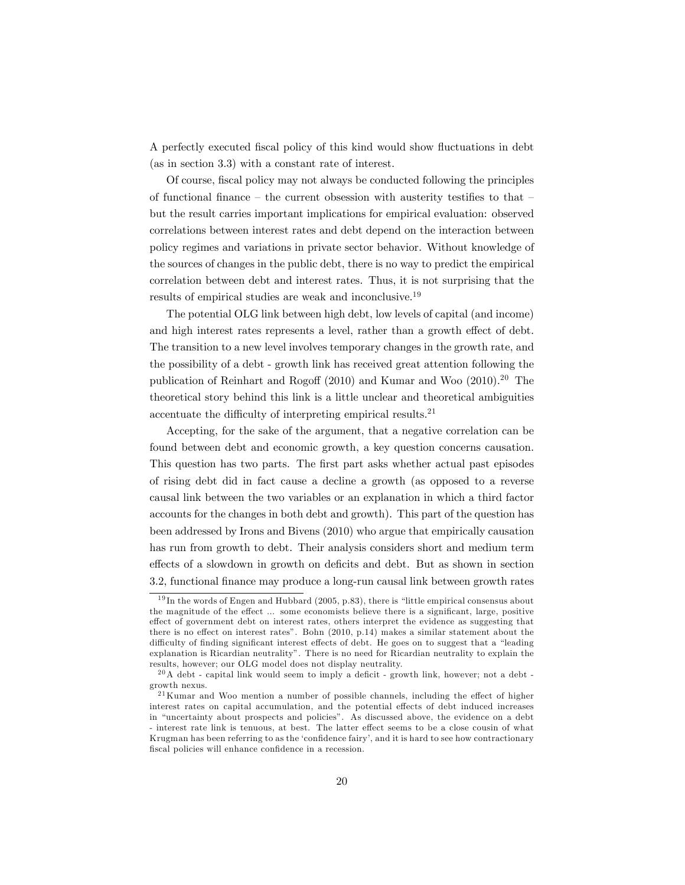A perfectly executed fiscal policy of this kind would show fluctuations in debt (as in section 3.3) with a constant rate of interest.

Of course, Öscal policy may not always be conducted following the principles of functional finance  $-$  the current obsession with austerity testifies to that  $$ but the result carries important implications for empirical evaluation: observed correlations between interest rates and debt depend on the interaction between policy regimes and variations in private sector behavior. Without knowledge of the sources of changes in the public debt, there is no way to predict the empirical correlation between debt and interest rates. Thus, it is not surprising that the results of empirical studies are weak and inconclusive.<sup>19</sup>

The potential OLG link between high debt, low levels of capital (and income) and high interest rates represents a level, rather than a growth effect of debt. The transition to a new level involves temporary changes in the growth rate, and the possibility of a debt - growth link has received great attention following the publication of Reinhart and Rogoff  $(2010)$  and Kumar and Woo  $(2010).^{20}$  The theoretical story behind this link is a little unclear and theoretical ambiguities accentuate the difficulty of interpreting empirical results. $^{21}$ 

Accepting, for the sake of the argument, that a negative correlation can be found between debt and economic growth, a key question concerns causation. This question has two parts. The first part asks whether actual past episodes of rising debt did in fact cause a decline a growth (as opposed to a reverse causal link between the two variables or an explanation in which a third factor accounts for the changes in both debt and growth). This part of the question has been addressed by Irons and Bivens (2010) who argue that empirically causation has run from growth to debt. Their analysis considers short and medium term effects of a slowdown in growth on deficits and debt. But as shown in section 3.2, functional Önance may produce a long-run causal link between growth rates

 $19 \text{ In the words of Engen and Hubbard (2005, p.83), there is "little empirical consensus about}$ the magnitude of the effect ... some economists believe there is a significant, large, positive effect of government debt on interest rates, others interpret the evidence as suggesting that there is no effect on interest rates". Bohn  $(2010, p.14)$  makes a similar statement about the difficulty of finding significant interest effects of debt. He goes on to suggest that a "leading explanation is Ricardian neutrality". There is no need for Ricardian neutrality to explain the results, however; our OLG model does not display neutrality.

 $20A$  debt - capital link would seem to imply a deficit - growth link, however; not a debt growth nexus.

 $21$ Kumar and Woo mention a number of possible channels, including the effect of higher interest rates on capital accumulation, and the potential effects of debt induced increases in "uncertainty about prospects and policies". As discussed above, the evidence on a debt - interest rate link is tenuous, at best. The latter effect seems to be a close cousin of what Krugman has been referring to as the 'confidence fairy', and it is hard to see how contractionary fiscal policies will enhance confidence in a recession.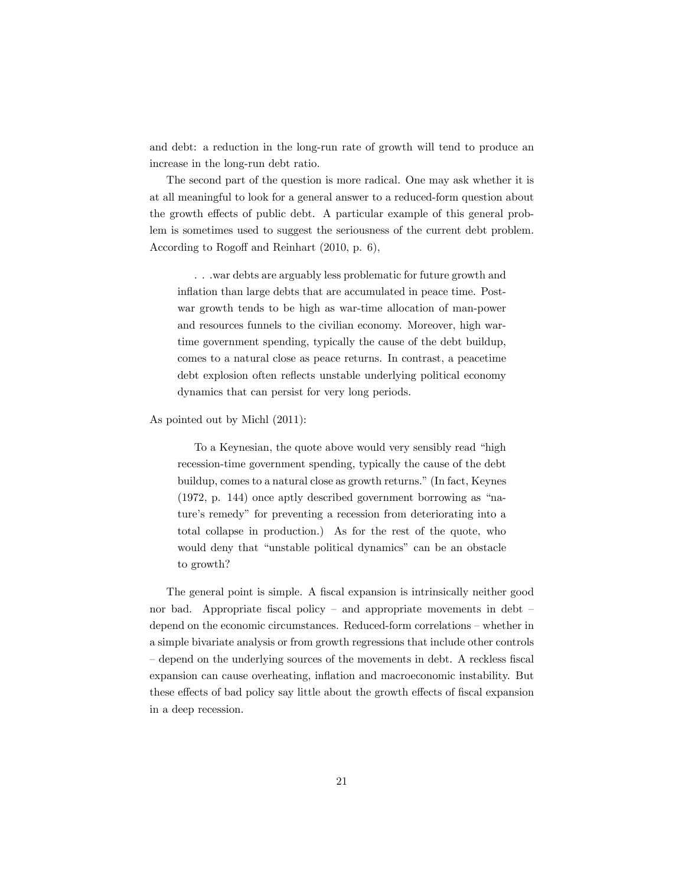and debt: a reduction in the long-run rate of growth will tend to produce an increase in the long-run debt ratio.

The second part of the question is more radical. One may ask whether it is at all meaningful to look for a general answer to a reduced-form question about the growth effects of public debt. A particular example of this general problem is sometimes used to suggest the seriousness of the current debt problem. According to Rogoff and Reinhart  $(2010, p. 6)$ ,

. . .war debts are arguably less problematic for future growth and inflation than large debts that are accumulated in peace time. Postwar growth tends to be high as war-time allocation of man-power and resources funnels to the civilian economy. Moreover, high wartime government spending, typically the cause of the debt buildup, comes to a natural close as peace returns. In contrast, a peacetime debt explosion often reflects unstable underlying political economy dynamics that can persist for very long periods.

As pointed out by Michl (2011):

To a Keynesian, the quote above would very sensibly read "high recession-time government spending, typically the cause of the debt buildup, comes to a natural close as growth returns." (In fact, Keynes  $(1972, p. 144)$  once aptly described government borrowing as "nature's remedy" for preventing a recession from deteriorating into a total collapse in production.) As for the rest of the quote, who would deny that "unstable political dynamics" can be an obstacle to growth?

The general point is simple. A fiscal expansion is intrinsically neither good nor bad. Appropriate fiscal policy  $-$  and appropriate movements in debt  $$ depend on the economic circumstances. Reduced-form correlations – whether in a simple bivariate analysis or from growth regressions that include other controls  $\alpha$  – depend on the underlying sources of the movements in debt. A reckless fiscal expansion can cause overheating, inflation and macroeconomic instability. But these effects of bad policy say little about the growth effects of fiscal expansion in a deep recession.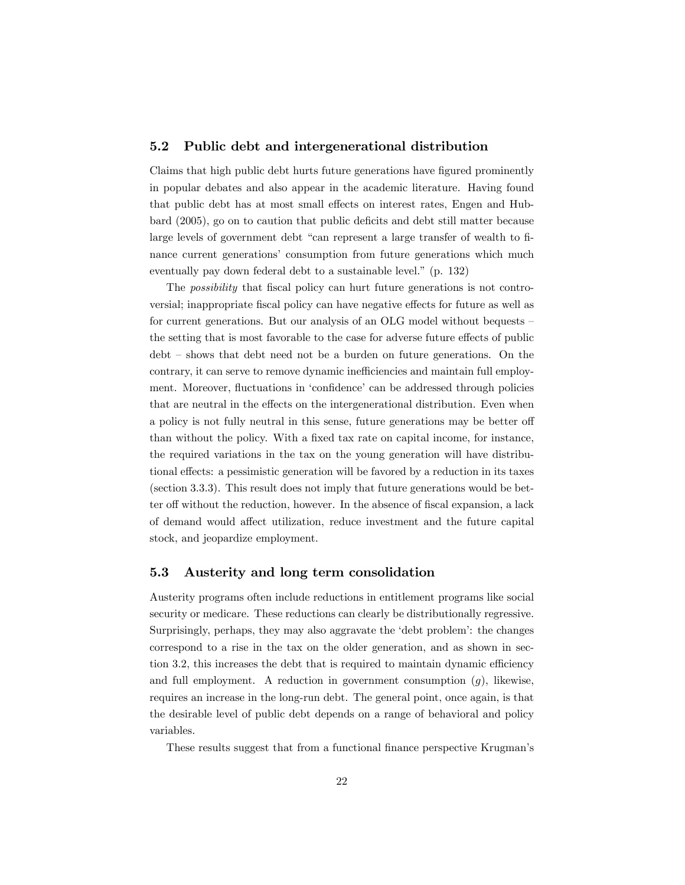#### 5.2 Public debt and intergenerational distribution

Claims that high public debt hurts future generations have figured prominently in popular debates and also appear in the academic literature. Having found that public debt has at most small effects on interest rates, Engen and Hubbard (2005), go on to caution that public deficits and debt still matter because large levels of government debt "can represent a large transfer of wealth to finance current generations' consumption from future generations which much eventually pay down federal debt to a sustainable level." (p. 132)

The *possibility* that fiscal policy can hurt future generations is not controversial; inappropriate fiscal policy can have negative effects for future as well as for current generations. But our analysis of an OLG model without bequests  $\overline{\phantom{a}}$ the setting that is most favorable to the case for adverse future effects of public  $\text{debt}$  – shows that debt need not be a burden on future generations. On the contrary, it can serve to remove dynamic inefficiencies and maintain full employment. Moreover, fluctuations in 'confidence' can be addressed through policies that are neutral in the effects on the intergenerational distribution. Even when a policy is not fully neutral in this sense, future generations may be better of than without the policy. With a fixed tax rate on capital income, for instance, the required variations in the tax on the young generation will have distributional effects: a pessimistic generation will be favored by a reduction in its taxes (section 3.3.3). This result does not imply that future generations would be better off without the reduction, however. In the absence of fiscal expansion, a lack of demand would affect utilization, reduce investment and the future capital stock, and jeopardize employment.

#### 5.3 Austerity and long term consolidation

Austerity programs often include reductions in entitlement programs like social security or medicare. These reductions can clearly be distributionally regressive. Surprisingly, perhaps, they may also aggravate the 'debt problem': the changes correspond to a rise in the tax on the older generation, and as shown in section 3.2, this increases the debt that is required to maintain dynamic efficiency and full employment. A reduction in government consumption  $(g)$ , likewise, requires an increase in the long-run debt. The general point, once again, is that the desirable level of public debt depends on a range of behavioral and policy variables.

These results suggest that from a functional finance perspective Krugman's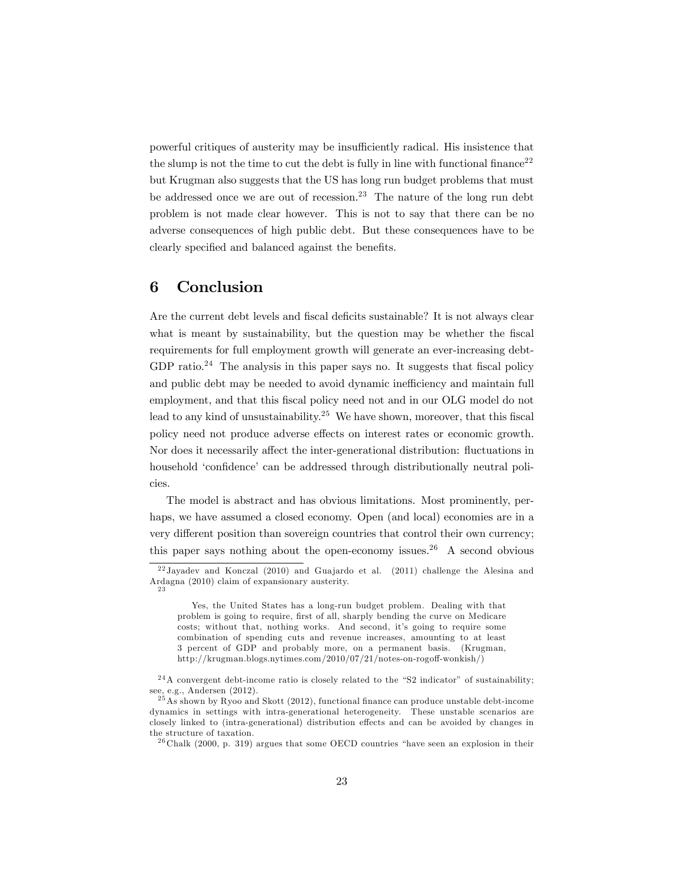powerful critiques of austerity may be insu¢ ciently radical. His insistence that the slump is not the time to cut the debt is fully in line with functional finance<sup>22</sup> but Krugman also suggests that the US has long run budget problems that must be addressed once we are out of recession.<sup>23</sup> The nature of the long run debt problem is not made clear however. This is not to say that there can be no adverse consequences of high public debt. But these consequences have to be clearly specified and balanced against the benefits.

### 6 Conclusion

Are the current debt levels and fiscal deficits sustainable? It is not always clear what is meant by sustainability, but the question may be whether the fiscal requirements for full employment growth will generate an ever-increasing debt-GDP ratio.<sup>24</sup> The analysis in this paper says no. It suggests that fiscal policy and public debt may be needed to avoid dynamic inefficiency and maintain full employment, and that this fiscal policy need not and in our OLG model do not lead to any kind of unsustainability.<sup>25</sup> We have shown, moreover, that this fiscal policy need not produce adverse effects on interest rates or economic growth. Nor does it necessarily affect the inter-generational distribution: fluctuations in household 'confidence' can be addressed through distributionally neutral policies.

The model is abstract and has obvious limitations. Most prominently, perhaps, we have assumed a closed economy. Open (and local) economies are in a very different position than sovereign countries that control their own currency; this paper says nothing about the open-economy issues.<sup>26</sup> A second obvious

 $22$  Jayadev and Konczal (2010) and Guajardo et al. (2011) challenge the Alesina and Ardagna (2010) claim of expansionary austerity. 2 3

Yes, the United States has a long-run budget problem. Dealing with that problem is going to require, first of all, sharply bending the curve on Medicare costs; without that, nothing works. And second, it's going to require some combination of spending cuts and revenue increases, amounting to at least 3 percent of GDP and probably more, on a permanent basis. (Krugman, http://krugman.blogs.nytimes.com/2010/07/21/notes-on-rogoff-wonkish/)

 $24A$  convergent debt-income ratio is closely related to the "S2 indicator" of sustainability; see, e.g., Andersen (2012).

 $^{25}$ As shown by Ryoo and Skott (2012), functional finance can produce unstable debt-income dynamics in settings with intra-generational heterogeneity. These unstable scenarios are closely linked to (intra-generational) distribution effects and can be avoided by changes in the structure of taxation.

 $26$  Chalk (2000, p. 319) argues that some OECD countries "have seen an explosion in their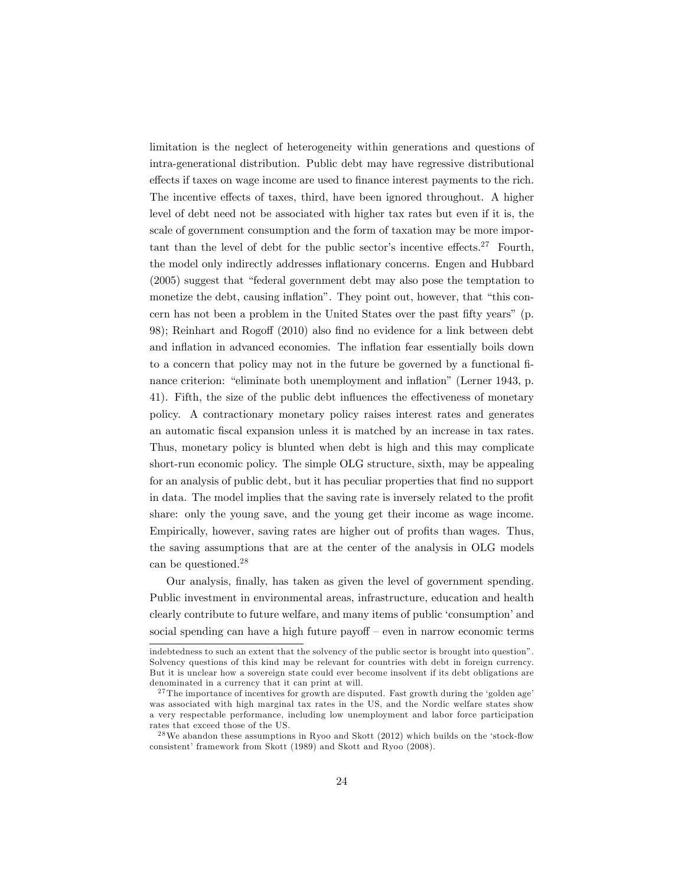limitation is the neglect of heterogeneity within generations and questions of intra-generational distribution. Public debt may have regressive distributional effects if taxes on wage income are used to finance interest payments to the rich. The incentive effects of taxes, third, have been ignored throughout. A higher level of debt need not be associated with higher tax rates but even if it is, the scale of government consumption and the form of taxation may be more important than the level of debt for the public sector's incentive effects.<sup>27</sup> Fourth, the model only indirectly addresses inflationary concerns. Engen and Hubbard  $(2005)$  suggest that "federal government debt may also pose the temptation to monetize the debt, causing inflation". They point out, however, that "this concern has not been a problem in the United States over the past fifty years" (p. 98); Reinhart and Rogoff (2010) also find no evidence for a link between debt and inflation in advanced economies. The inflation fear essentially boils down to a concern that policy may not in the future be governed by a functional finance criterion: "eliminate both unemployment and inflation" (Lerner 1943, p. 41). Fifth, the size of the public debt influences the effectiveness of monetary policy. A contractionary monetary policy raises interest rates and generates an automatic fiscal expansion unless it is matched by an increase in tax rates. Thus, monetary policy is blunted when debt is high and this may complicate short-run economic policy. The simple OLG structure, sixth, may be appealing for an analysis of public debt, but it has peculiar properties that find no support in data. The model implies that the saving rate is inversely related to the profit share: only the young save, and the young get their income as wage income. Empirically, however, saving rates are higher out of profits than wages. Thus, the saving assumptions that are at the center of the analysis in OLG models can be questioned.<sup>28</sup>

Our analysis, Önally, has taken as given the level of government spending. Public investment in environmental areas, infrastructure, education and health clearly contribute to future welfare, and many items of public 'consumption' and social spending can have a high future payoff  $-$  even in narrow economic terms

indebtedness to such an extent that the solvency of the public sector is brought into questionî. Solvency questions of this kind may be relevant for countries with debt in foreign currency. But it is unclear how a sovereign state could ever become insolvent if its debt obligations are denominated in a currency that it can print at will.

<sup>&</sup>lt;sup>27</sup> The importance of incentives for growth are disputed. Fast growth during the 'golden age' was associated with high marginal tax rates in the US, and the Nordic welfare states show a very respectable performance, including low unemployment and labor force participation rates that exceed those of the US.

 $28$  We abandon these assumptions in Ryoo and Skott (2012) which builds on the 'stock-flow consistent' framework from Skott (1989) and Skott and Ryoo (2008).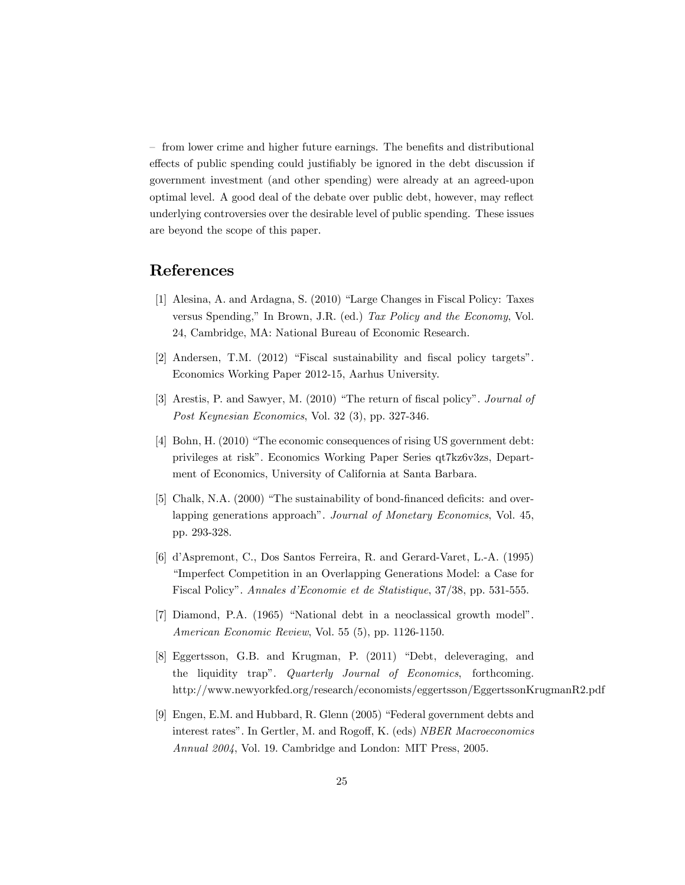– from lower crime and higher future earnings. The benefits and distributional effects of public spending could justifiably be ignored in the debt discussion if government investment (and other spending) were already at an agreed-upon optimal level. A good deal of the debate over public debt, however, may reflect underlying controversies over the desirable level of public spending. These issues are beyond the scope of this paper.

## References

- [1] Alesina, A. and Ardagna, S. (2010) "Large Changes in Fiscal Policy: Taxes versus Spending," In Brown, J.R. (ed.) Tax Policy and the Economy, Vol. 24, Cambridge, MA: National Bureau of Economic Research.
- $[2]$  Andersen, T.M.  $(2012)$  "Fiscal sustainability and fiscal policy targets". Economics Working Paper 2012-15, Aarhus University.
- [3] Arestis, P. and Sawyer, M. (2010) "The return of fiscal policy". Journal of Post Keynesian Economics, Vol. 32 (3), pp. 327-346.
- [4] Bohn, H. (2010) "The economic consequences of rising US government debt: privileges at riskî. Economics Working Paper Series qt7kz6v3zs, Department of Economics, University of California at Santa Barbara.
- $[5]$  Chalk, N.A.  $(2000)$  "The sustainability of bond-financed deficits: and overlapping generations approach". Journal of Monetary Economics, Vol. 45, pp. 293-328.
- [6] díAspremont, C., Dos Santos Ferreira, R. and Gerard-Varet, L.-A. (1995) "Imperfect Competition in an Overlapping Generations Model: a Case for Fiscal Policy". Annales d'Economie et de Statistique, 37/38, pp. 531-555.
- [7] Diamond, P.A. (1965) "National debt in a neoclassical growth model". American Economic Review, Vol. 55 (5), pp. 1126-1150.
- [8] Eggertsson, G.B. and Krugman, P. (2011) "Debt, deleveraging, and the liquidity trap". Quarterly Journal of Economics, forthcoming. http://www.newyorkfed.org/research/economists/eggertsson/EggertssonKrugmanR2.pdf
- [9] Engen, E.M. and Hubbard, R. Glenn (2005) "Federal government debts and interest rates". In Gertler, M. and Rogoff, K. (eds) NBER Macroeconomics Annual 2004, Vol. 19. Cambridge and London: MIT Press, 2005.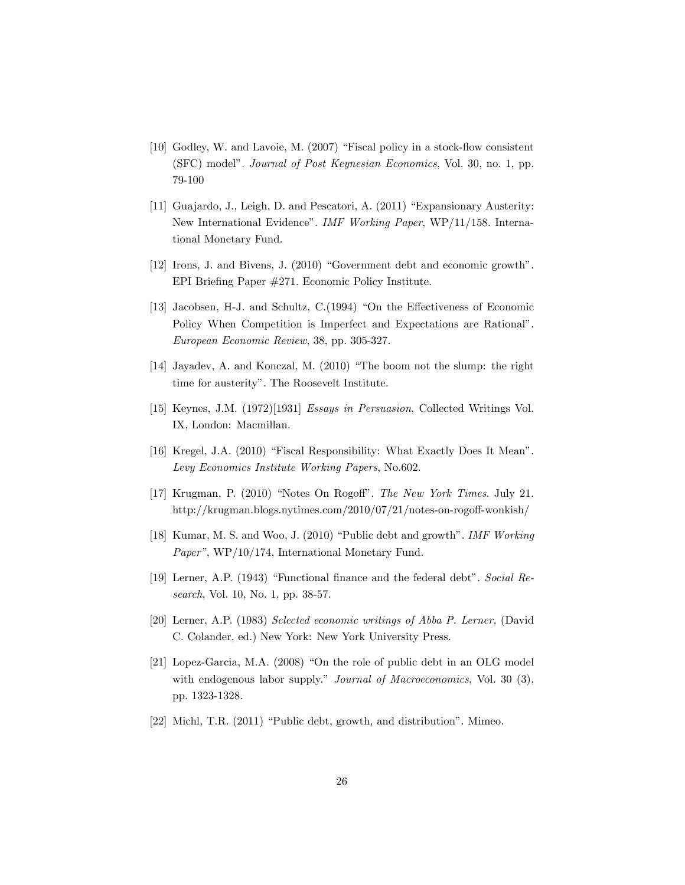- $[10]$  Godley, W. and Lavoie, M.  $(2007)$  "Fiscal policy in a stock-flow consistent (SFC) model". Journal of Post Keynesian Economics, Vol. 30, no. 1, pp. 79-100
- [11] Guajardo, J., Leigh, D. and Pescatori, A.  $(2011)$  "Expansionary Austerity: New International Evidence". IMF Working Paper, WP/11/158. International Monetary Fund.
- [12] Irons, J. and Bivens, J.  $(2010)$  "Government debt and economic growth". EPI Briefing Paper #271. Economic Policy Institute.
- [13] Jacobsen, H-J. and Schultz,  $C.(1994)$  "On the Effectiveness of Economic Policy When Competition is Imperfect and Expectations are Rationalî. European Economic Review, 38, pp. 305-327.
- [14] Jayadev, A. and Konczal, M.  $(2010)$  "The boom not the slump: the right time for austerity". The Roosevelt Institute.
- [15] Keynes, J.M. (1972)[1931] Essays in Persuasion, Collected Writings Vol. IX, London: Macmillan.
- [16] Kregel, J.A. (2010) "Fiscal Responsibility: What Exactly Does It Mean". Levy Economics Institute Working Papers, No.602.
- $[17]$  Krugman, P. (2010) "Notes On Rogoff". The New York Times. July 21. http://krugman.blogs.nytimes.com/2010/07/21/notes-on-rogoff-wonkish/
- [18] Kumar, M. S. and Woo, J. (2010) "Public debt and growth". IMF Working  $Paper$ ",  $WP/10/174$ , International Monetary Fund.
- [19] Lerner, A.P. (1943) "Functional finance and the federal debt". Social Research, Vol. 10, No. 1, pp. 38-57.
- [20] Lerner, A.P. (1983) Selected economic writings of Abba P. Lerner, (David C. Colander, ed.) New York: New York University Press.
- [21] Lopez-Garcia, M.A. (2008) "On the role of public debt in an OLG model with endogenous labor supply." Journal of Macroeconomics, Vol. 30  $(3)$ , pp. 1323-1328.
- [22] Michl, T.R. (2011) "Public debt, growth, and distribution". Mimeo.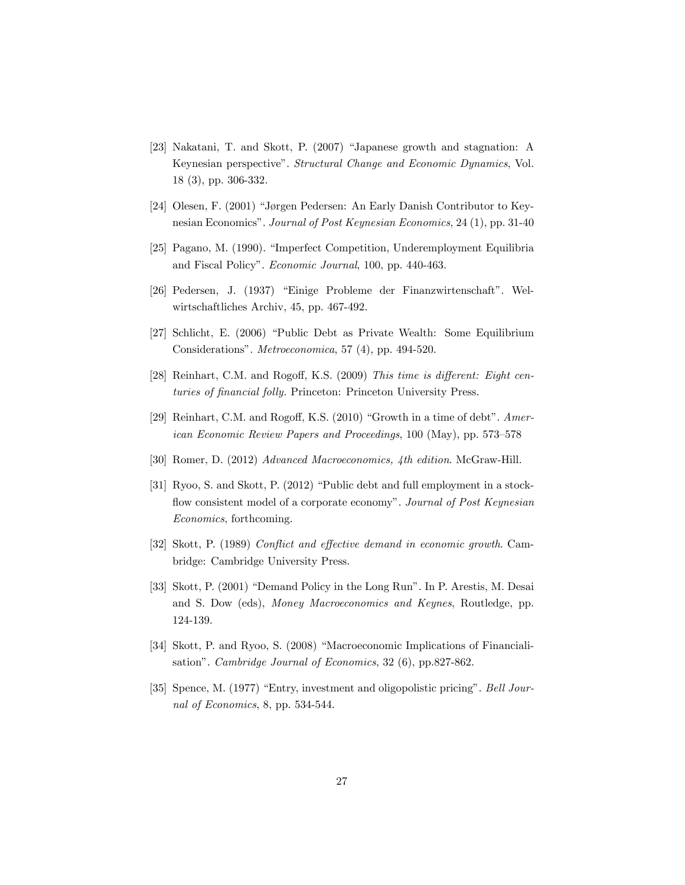- [23] Nakatani, T. and Skott, P. (2007) "Japanese growth and stagnation: A Keynesian perspective". Structural Change and Economic Dynamics, Vol. 18 (3), pp. 306-332.
- [24] Olesen, F. (2001) "Jørgen Pedersen: An Early Danish Contributor to Keynesian Economicsî. Journal of Post Keynesian Economics, 24 (1), pp. 31-40
- [25] Pagano, M. (1990). "Imperfect Competition, Underemployment Equilibria and Fiscal Policy". Economic Journal, 100, pp. 440-463.
- [26] Pedersen, J. (1937) "Einige Probleme der Finanzwirtenschaft". Welwirtschaftliches Archiv, 45, pp. 467-492.
- [27] Schlicht, E. (2006) "Public Debt as Private Wealth: Some Equilibrium Considerations". Metroeconomica, 57 (4), pp. 494-520.
- [28] Reinhart, C.M. and Rogoff, K.S. (2009) This time is different: Eight centuries of financial folly. Princeton: Princeton University Press.
- [29] Reinhart, C.M. and Rogoff, K.S. (2010) "Growth in a time of debt".  $Amer$ ican Economic Review Papers and Proceedings,  $100$  (May), pp. 573–578
- [30] Romer, D. (2012) Advanced Macroeconomics, 4th edition. McGraw-Hill.
- [31] Ryoo, S. and Skott, P. (2012) "Public debt and full employment in a stockflow consistent model of a corporate economy". Journal of Post Keynesian Economics, forthcoming.
- [32] Skott, P. (1989) Conflict and effective demand in economic growth. Cambridge: Cambridge University Press.
- [33] Skott, P. (2001) "Demand Policy in the Long Run". In P. Arestis, M. Desai and S. Dow (eds), Money Macroeconomics and Keynes, Routledge, pp. 124-139.
- [34] Skott, P. and Ryoo, S. (2008) "Macroeconomic Implications of Financialisation". Cambridge Journal of Economics, 32 (6), pp.827-862.
- [35] Spence, M. (1977) "Entry, investment and oligopolistic pricing". Bell Journal of Economics, 8, pp. 534-544.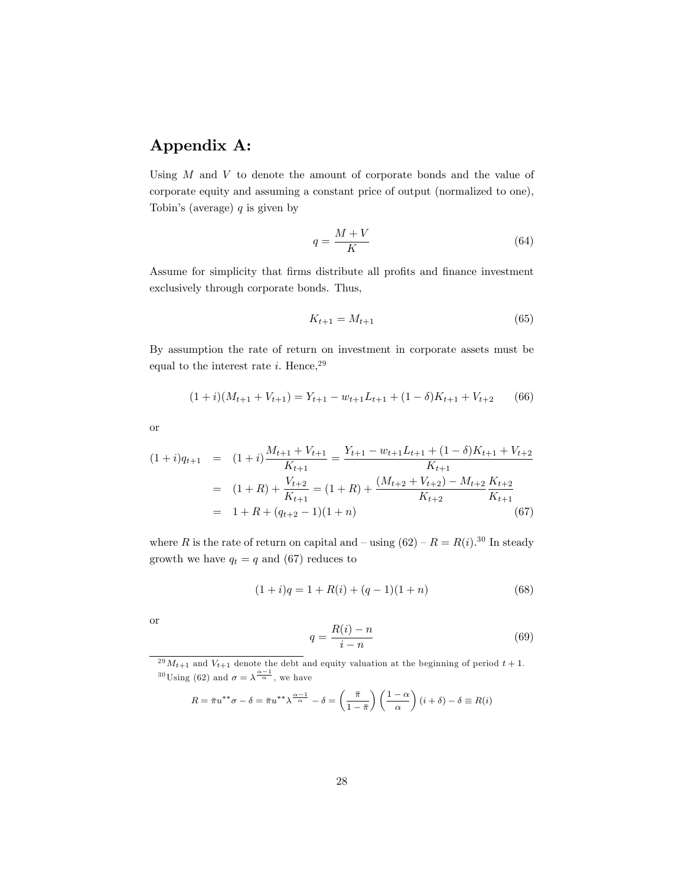# Appendix A:

Using  $M$  and  $V$  to denote the amount of corporate bonds and the value of corporate equity and assuming a constant price of output (normalized to one), Tobin's (average)  $q$  is given by

$$
q = \frac{M + V}{K} \tag{64}
$$

Assume for simplicity that firms distribute all profits and finance investment exclusively through corporate bonds. Thus,

$$
K_{t+1} = M_{t+1} \tag{65}
$$

By assumption the rate of return on investment in corporate assets must be equal to the interest rate *i*. Hence,  $29$ 

$$
(1+i)(M_{t+1} + V_{t+1}) = Y_{t+1} - w_{t+1}L_{t+1} + (1 - \delta)K_{t+1} + V_{t+2}
$$
 (66)

or

$$
(1+i)q_{t+1} = (1+i)\frac{M_{t+1} + V_{t+1}}{K_{t+1}} = \frac{Y_{t+1} - w_{t+1}L_{t+1} + (1-\delta)K_{t+1} + V_{t+2}}{K_{t+1}}
$$
  
= 
$$
(1+R) + \frac{V_{t+2}}{K_{t+1}} = (1+R) + \frac{(M_{t+2} + V_{t+2}) - M_{t+2}}{K_{t+2}}\frac{K_{t+2}}{K_{t+1}}
$$
  
= 
$$
1 + R + (q_{t+2} - 1)(1+n)
$$
(67)

where R is the rate of return on capital and – using  $(62)$  –  $R = R(i).^{30}$  In steady growth we have  $q_t = q$  and (67) reduces to

$$
(1+i)q = 1 + R(i) + (q-1)(1+n)
$$
\n(68)

or

$$
q = \frac{R(i) - n}{i - n} \tag{69}
$$

 $^{29}M_{t+1}$  and  $V_{t+1}$  denote the debt and equity valuation at the beginning of period  $t+1$ . <sup>30</sup>Using (62) and  $\sigma = \lambda^{\frac{\alpha-1}{\alpha}}$ , we have

$$
R = \bar{\pi}u^{**}\sigma - \delta = \bar{\pi}u^{**}\lambda^{\frac{\alpha-1}{\alpha}} - \delta = \left(\frac{\bar{\pi}}{1-\bar{\pi}}\right)\left(\frac{1-\alpha}{\alpha}\right)(i+\delta) - \delta \equiv R(i)
$$